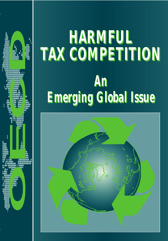# **HARMFUL TAX COMPETITION** *An Emerging Global Issue*



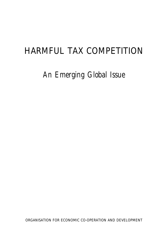# HARMFUL TAX COMPETITION

*An Emerging Global Issue*

ORGANISATION FOR ECONOMIC CO-OPERATION AND DEVELOPMENT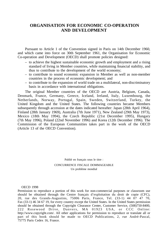#### **ORGANISATION FOR ECONOMIC CO-OPERATION AND DEVELOPMENT**

Pursuant to Article 1 of the Convention signed in Paris on 14th December 1960, and which came into force on 30th September 1961, the Organisation for Economic Co-operation and Development (OECD) shall promote policies designed:

- to achieve the highest sustainable economic growth and employment and a rising standard of living in Member countries, while maintaining financial stability, and thus to contribute to the development of the world economy;
- to contribute to sound economic expansion in Member as well as non-member countries in the process of economic development; and
- to contribute to the expansion of world trade on a multilateral, non-discriminatory basis in accordance with international obligations.

The original Member countries of the OECD are Austria, Belgium, Canada, Denmark, France, Germany, Greece, Iceland, Ireland, Italy, Luxembourg, the Netherlands, Norway, Portugal, Spain, Sweden, Switzerland, Turkey, the United Kingdom and the United States. The following countries became Members subsequently through accession at the dates indicated hereafter: Japan (28th April 1964), Finland (28th January 1969), Australia (7th June 1971), New Zealand (29th May 1973), Mexico (18th May 1994), the Czech Republic (21st December 1995), Hungary (7th May 1996), Poland (22nd November 1996) and Korea (12th December 1996). The Commission of the European Communities takes part in the work of the OECD (Article 13 of the OECD Convention).

> Publié en français sous le titre : CONCURRENCE FISCALE DOMMAGEABLE Un problème mondial

© OECD 1998

Permission to reproduce a portion of this work for non-commercial purposes or classroom use should be obtained through the Centre français d'exploitation du droit de copie (CFC), 20, rue des Grands-Augustins, 75006 Paris, France, Tel. (33-1) 44 07 47 70, Fax (33-1) 46 34 67 19, for every country except the United States. In the United States permission should be obtained through the Copyright Clearance Center, Customer Service, (508)750-8400, 222 Rosewood Drive, Danvers, MA 01923 USA, or CCC Online: http://www.copyright.com/. All other applications for permission to reproduce or translate all or part of this book should be made to OECD Publications, 2, rue André-Pascal, 75775 Paris Cedex 16, France.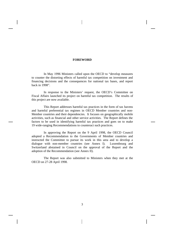#### **FOREWORD**

In May 1996 Ministers called upon the OECD to "develop measures to counter the distorting effects of harmful tax competition on investment and financing decisions and the consequences for national tax bases, and report back in 1998".

In response to the Ministers' request, the OECD's Committee on Fiscal Affairs launched its project on harmful tax competition. The results of this project are now available.

This Report addresses harmful tax practices in the form of tax havens and harmful preferential tax regimes in OECD Member countries and non-Member countries and their dependencies. It focuses on geographically mobile activities, such as financial and other service activities. The Report defines the factors to be used in identifying harmful tax practices and goes on to make 19 wide-ranging Recommendations to counteract such practices.

In approving the Report on the 9 April 1998, the OECD Council adopted a Recommendation to the Governments of Member countries and instructed the Committee to pursue its work in this area and to develop a dialogue with non-member countries (see Annex I). Luxembourg and Switzerland abstained in Council on the approval of the Report and the adoption of the Recommendation (see Annex II).

The Report was also submitted to Ministers when they met at the OECD on 27-28 April 1998.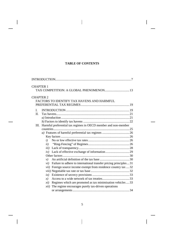# **TABLE OF CONTENTS**

| <b>CHAPTER 1</b> |                                                                          |  |
|------------------|--------------------------------------------------------------------------|--|
|                  | TAX COMPETITION: A GLOBAL PHENOMENON 13                                  |  |
| <b>CHAPTER 2</b> |                                                                          |  |
|                  | FACTORS TO IDENTIFY TAX HAVENS AND HARMFUL                               |  |
|                  |                                                                          |  |
| L                |                                                                          |  |
| П.               |                                                                          |  |
|                  |                                                                          |  |
|                  |                                                                          |  |
| III.             | Harmful preferential tax regimes in OECD member and non-member           |  |
|                  |                                                                          |  |
|                  |                                                                          |  |
|                  |                                                                          |  |
|                  | i)                                                                       |  |
|                  |                                                                          |  |
|                  | iii)                                                                     |  |
|                  |                                                                          |  |
|                  |                                                                          |  |
|                  | $\nu$ )                                                                  |  |
|                  | Failure to adhere to international transfer pricing principles31<br>vi)  |  |
|                  | <i>vii</i> ) Foreign source income exempt from residence country tax  32 |  |
|                  |                                                                          |  |
|                  | ix)                                                                      |  |
|                  | $\chi$ )                                                                 |  |
|                  | Regimes which are promoted as tax minimisation vehicles  33<br>xi)       |  |
|                  | The regime encourages purely tax-driven operations<br>xii)               |  |
|                  |                                                                          |  |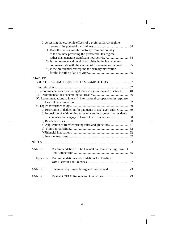|                                                                      | b) Assessing the economic effects of a preferential tax regime          |  |  |
|----------------------------------------------------------------------|-------------------------------------------------------------------------|--|--|
|                                                                      | $i)$ Does the tax regime shift activity from one country                |  |  |
|                                                                      | to the country providing the preferential tax regime,                   |  |  |
|                                                                      |                                                                         |  |  |
|                                                                      | ii) Is the presence and level of activities in the host country         |  |  |
|                                                                      | commensurate with the amount of investment or income?35                 |  |  |
|                                                                      | iii) Is the preferential tax regime the primary motivation              |  |  |
|                                                                      |                                                                         |  |  |
| <b>CHAPTER 3</b>                                                     |                                                                         |  |  |
| COUNTERACTING HARMFUL TAX COMPETITION 37                             |                                                                         |  |  |
|                                                                      |                                                                         |  |  |
|                                                                      |                                                                         |  |  |
| II. Recommendations concerning domestic legislation and practices 40 |                                                                         |  |  |
|                                                                      |                                                                         |  |  |
|                                                                      | IV. Recommendations to intensify international co-operation in response |  |  |
|                                                                      |                                                                         |  |  |
|                                                                      |                                                                         |  |  |
|                                                                      | a) Restriction of deduction for payments to tax haven entities 59       |  |  |
|                                                                      | b) Imposition of withholding taxes on certain payments to residents     |  |  |
|                                                                      |                                                                         |  |  |
|                                                                      |                                                                         |  |  |
|                                                                      |                                                                         |  |  |
|                                                                      |                                                                         |  |  |
|                                                                      |                                                                         |  |  |
|                                                                      |                                                                         |  |  |
|                                                                      |                                                                         |  |  |
| <b>ANNEX I</b>                                                       | Recommendation of The Council on Counteracting Harmful                  |  |  |
| Appendix                                                             | Recommendations and Guidelines for Dealing                              |  |  |
|                                                                      |                                                                         |  |  |
|                                                                      |                                                                         |  |  |
| <b>ANNEX II</b>                                                      |                                                                         |  |  |
| <b>ANNEX III</b>                                                     |                                                                         |  |  |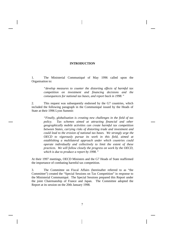#### **INTRODUCTION**

1. The Ministerial Communiqué of May 1996 called upon the Organisation to:

> *"develop measures to counter the distorting effects of harmful tax competition on investment and financing decisions and the consequences for national tax bases, and report back in 1998."*

2. This request was subsequently endorsed by the G7 countries, which included the following paragraph in the Communiqué issued by the Heads of State at their 1996 Lyon Summit:

> *"Finally, globalisation is creating new challenges in the field of tax policy. Tax schemes aimed at attracting financial and other geographically mobile activities can create harmful tax competition between States, carrying risks of distorting trade and investment and could lead to the erosion of national tax bases. We strongly urge the OECD to vigorously pursue its work in this field, aimed at establishing a multilateral approach under which countries could operate individually and collectively to limit the extent of these practices. We will follow closely the progress on work by the OECD, which is due to produce a report by 1998."*

At their 1997 meetings, OECD Ministers and the G7 Heads of State reaffirmed the importance of combating harmful tax competition.

3. The Committee on Fiscal Affairs (hereinafter referred to as "the Committee") created the "Special Sessions on Tax Competition" in response to the Ministerial Communiqué. The Special Sessions prepared this Report under the joint Chairmanship of France and Japan. The Committee adopted the Report at its session on the 20th January 1998.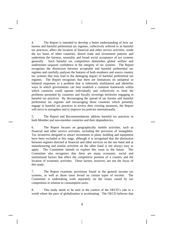4. The Report is intended to develop a better understanding of how tax havens and harmful preferential tax regimes, collectively referred to as harmful tax practices, affect the location of financial and other service activities, erode the tax bases of other countries, distort trade and investment patterns and undermine the fairness, neutrality and broad social acceptance of tax systems generally. Such harmful tax competition diminishes global welfare and undermines taxpayer confidence in the integrity of tax systems. The Report recognises the distinction between acceptable and harmful preferential tax regimes and carefully analyses the features of both residence and source country tax systems that may lead to the damaging impact of harmful preferential tax regimes. The Report recognises that there are limitations on unilateral or bilateral responses to a problem that is inherently multilateral and identifies ways in which governments can best establish a common framework within which countries could operate individually and collectively to limit the problems presented by countries and fiscally sovereign territories engaging in harmful tax practices. By discouraging the spread of tax havens and harmful preferential tax regimes and encouraging those countries which presently engage in harmful tax practices to review their existing measures, the Report will serve to strengthen and to improve tax policies internationally.

5. The Report and Recommendations address harmful tax practices in both Member and non-member countries and their dependencies.

6. The Report focuses on geographically mobile activities, such as financial and other service activities, including the provision of intangibles. Tax incentives designed to attract investment in plant, building and equipment have been excluded at this stage, although it is recognised that the distinction between regimes directed at financial and other services on the one hand and at manufacturing and similar activities on the other hand is not always easy to apply. The Committee intends to explore this issue in the future. The Committee also recognises that there are many economic, social and institutional factors that affect the competitive position of a country and the location of economic activities. These factors, however, are not the focus of this study.

7. The Report examines provisions found in the general income tax systems, as well as those taxes levied on certain types of income. The Committee is undertaking work separately on the issues raised by tax competition in relation to consumption taxes.

8. This study needs to be seen in the context of the OECD's role in a world where the pace of globalisation is accelerating. The OECD believes that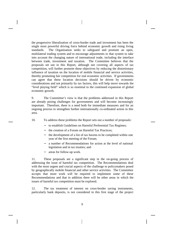the progressive liberalisation of cross-border trade and investment has been the single most powerful driving force behind economic growth and rising living standards. The Organisation seeks to safeguard and promote an open, multilateral trading system and to encourage adjustments to that system to take into account the changing nature of international trade, including the interface between trade, investment and taxation. The Committee believes that the proposals set out in this Report, although not covering all aspects of tax competition, will further promote these objectives by reducing the distortionary influence of taxation on the location of mobile financial and service activities, thereby promoting fair competition for real economic activities. If governments can agree that these location decisions should be driven by economic considerations and not primarily by tax factors, this will help move towards the "level playing field" which is so essential to the continued expansion of global economic growth.

9. The Committee's view is that the problems addressed in this Report are already posing challenges for governments and will become increasingly important. Therefore, there is a need both for immediate measures and for an ongoing process to strengthen further internationally co-ordinated action in this area.

10. To address these problems the Report sets out a number of proposals:

- − to establish Guidelines on Harmful Preferential Tax Regimes;
- − the creation of a Forum on Harmful Tax Practices;
- − the development of a list of tax havens to be completed within one year of the first meeting of the Forum;
- a number of Recommendations for action at the level of national legislation and in tax treaties; and
- − areas for follow-up work.

11. These proposals are a significant step in the on-going process of addressing the issue of harmful tax competition. The Recommendations deal with the most urgent and crucial aspects of the challenge to policymakers posed by geographically mobile financial and other service activities. The Committee accepts that more work will be required to implement some of these Recommendations and that in addition there will be other areas in which the issues of harmful tax competition must be explored.

12. The tax treatment of interest on cross-border saving instruments, particularly bank deposits, is not considered in this first stage of the project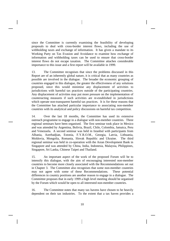since the Committee is currently examining the feasibility of developing proposals to deal with cross-border interest flows, including the use of withholding taxes and exchange of information. It has given a mandate to its Working Party on Tax Evasion and Avoidance to examine how exchange of information and withholding taxes can be used to ensure that cross-border interest flows do not escape taxation. The Committee attaches considerable importance to this issue and a first report will be available in 1999.

13. The Committee recognises that since the problems discussed in this Report are of an inherently global nature, it is critical that as many countries as possible are involved in the dialogue. The broader the economic grouping of countries engaged in this dialogue, the greater the effectiveness of any solutions proposed, since this would minimise any displacement of activities to jurisdictions with harmful tax practices outside of the participating countries. Any displacement of activities may put more pressure on the implementation of counteracting measures if such activities are re-established in jurisdictions which operate non-transparent harmful tax practices. It is for these reasons that the Committee has attached particular importance to associating non-member countries with its analytical and policy discussions on harmful tax competition.

14. Over the last 18 months, the Committee has used its extensive outreach programme to engage in a dialogue with non-member countries. Three regional seminars have been organised. The first seminar took place in Mexico and was attended by Argentina, Bolivia, Brazil, Chile, Colombia, Jamaica, Peru and Venezuela. A second seminar was held in Istanbul with participants from Albania, Azerbadjian, Estonia, F.Y.R.O.M., Georgia, Latvia, Lithuania, Moldovia, Mongolia, Romania, Slovak Republic and Ukraine. The third regional seminar was held in co-operation with the Asian Development Bank in Singapore and was attended by China, India, Indonesia, Malaysia, Philippines, Singapore, Sri Lanka, Chinese Taipei and Thailand.

15. An important aspect of the work of the proposed Forum will be to intensify this dialogue, with the aim of encouraging interested non-member countries to become more closely associated with the Recommendations set out in Chapter 3. The Committee also recognises that some non-member countries may not agree with some of these Recommendations. These potential differences in country positions are another reason to engage in a dialogue. The Committee proposes that in early 1999 a high level meeting should be organised by the Forum which would be open to all interested non-member countries.

16. The Committee notes that many tax havens have chosen to be heavily dependent on their tax industries. To the extent that a tax haven provides a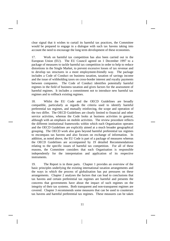clear signal that it wishes to curtail its harmful tax practices, the Committee would be prepared to engage in a dialogue with such tax havens taking into account the need to encourage the long term development of these economies.

17. Work on harmful tax competition has also been carried out in the European Union (EU). The EU Council agreed on 1 December 1997 to a package of measures to tackle harmful tax competition in order to help to reduce distortions in the Single Market, to prevent excessive losses of tax revenue and to develop tax structures in a more employment-friendly way. The package includes a Code of Conduct on business taxation, taxation of savings income and the issue of withholding taxes on cross-border interest and royalty payments between companies. The Code of Conduct identifies potentially harmful regimes in the field of business taxation and gives factors for the assessment of harmful regimes. It includes a commitment not to introduce new harmful tax regimes and to rollback existing regimes.

18. Whilst the EU Code and the OECD Guidelines are broadly compatible, particularly as regards the criteria used to identify harmful preferential tax regimes, and mutually reinforcing, the scope and operation of the two differ. The OECD Guidelines are clearly limited to financial and other service activities, whereas the Code looks at business activities in general, although with an emphasis on mobile activities. The review procedure reflects the different institutional frameworks within which each Organisation operates and the OECD Guidelines are explicitly aimed at a much broader geographical grouping. The OECD work also goes beyond harmful preferential tax regimes to encompass tax havens and also focuses on exchange of information. In addition, as noted above, the EU Code is part of a package of measures whereas the OECD Guidelines are accompanied by 19 detailed Recommendations relating to the specific issues of harmful tax competition. For all of these reasons, the Committee considers that each Organisation is responsible independently for the interpretation and application of its respective instruments.

19. The Report is in three parts. Chapter 1 provides an overview of the basic principles underlying the existing international taxation arrangements and the ways in which the process of globalisation has put pressures on these arrangements. Chapter 2 analyses the factors that can lead to conclusions that tax havens and certain preferential tax regimes are harmful and presents the concerns that governments have about the impact of such regimes on the integrity of their tax systems. Both transparent and non-transparent regimes are covered. Chapter 3 recommends some measures that can be used to counteract tax havens and harmful preferential tax regimes. These measures can be taken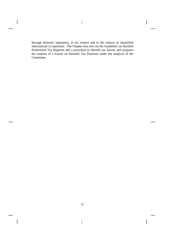through domestic legislation, in tax treaties and in the context of intensified international co-operation. The Chapter also sets out the Guidelines on Harmful Preferential Tax Regimes and a procedure to identify tax havens and proposes the creation of a Forum on Harmful Tax Practices under the auspices of the Committee.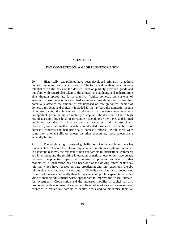#### **CHAPTER 1**

#### **TAX COMPETITION: A GLOBAL PHENOMENON**

20. Historically, tax policies have been developed primarily to address domestic economic and social concerns. The forms and levels of taxation were established on the basis of the desired level of publicly provided goods and transfers, with regard also taken to the allocative, stabilising and redistributive aims thought appropriate for a country. Whilst domestic tax systems of essentially closed economies also had an international dimension in that they potentially affected the amount of tax imposed on foreign source income of domestic residents and typically included in the tax base the domestic income of non-residents, the interaction of domestic tax systems was relatively unimportant, given the limited mobility of capital. The decision to have a high rate of tax and a high level of government spending or low taxes and limited public outlays, the mix of direct and indirect taxes, and the use of tax incentives, were all matters which were decided primarily on the basis of domestic concerns and had principally domestic effects. While there were some international spillover effects on other economies, those effects were generally limited.

21. The accelerating process of globalisation of trade and investment has fundamentally changed the relationship among domestic tax systems. As noted in paragraph 8 above, the removal of non-tax barriers to international commerce and investment and the resulting integration of national economies have greatly increased the potential impact that domestic tax policies can have on other economies. Globalisation has also been one of the driving forces behind tax reforms, which have focused on base broadening and rate reductions, thereby minimising tax induced distortions. Globalisation has also encouraged countries to assess continually their tax systems and public expenditures with a view to making adjustments where appropriate to improve the "fiscal climate" for investment. Globalisation and the increased mobility of capital has also promoted the development of capital and financial markets and has encouraged countries to reduce tax barriers to capital flows and to modernise their tax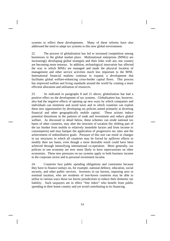systems to reflect these developments. Many of these reforms have also addressed the need to adapt tax systems to this new global environment.

22. The process of globalisation has led to increased competition among businesses in the global market place. Multinational enterprises (MNEs) are increasingly developing global strategies and their links with any one country are becoming more tenuous. In addition, technological innovation has affected the way in which MNEs are managed and made the physical location of management and other service activities much less important to the MNE. International financial markets continue to expand, a development that facilitates global welfare-enhancing cross-border capital flows. This process has improved welfare and living standards around the world by creating a more efficient allocation and utilisation of resources.

23. As indicated in paragraphs 8 and 21 above, globalisation has had a positive effect on the development of tax systems. Globalisation has, however, also had the negative effects of opening up new ways by which companies and individuals can minimise and avoid taxes and in which countries can exploit these new opportunities by developing tax policies aimed primarily at diverting financial and other geographically mobile capital. These actions induce potential distortions in the patterns of trade and investment and reduce global welfare. As discussed in detail below, these schemes can erode national tax bases of other countries, may alter the structure of taxation (by shifting part of the tax burden from mobile to relatively immobile factors and from income to consumption) and may hamper the application of progressive tax rates and the achievement of redistributive goals. Pressure of this sort can result in changes in tax structures in which all countries may be forced by spillover effects to modify their tax bases, even though a more desirable result could have been achieved through intensifying international co-operation. More generally, tax policies in one economy are now more likely to have repercussions on other economies. These new pressures on tax systems apply to both business income in the corporate sector and to personal investment income.

24. Countries face public spending obligations and constraints because they have to finance outlays on, for example, national defence, education, social security, and other public services. Investors in tax havens, imposing zero or nominal taxation, who are residents of non-haven countries may be able to utilise in various ways those tax haven jurisdictions to reduce their domestic tax liability. Such taxpayers are in effect "free riders" who benefit from public spending in their home country and yet avoid contributing to its financing.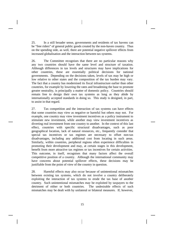25. In a still broader sense, governments and residents of tax havens can be "free riders" of general public goods created by the non-haven country. Thus on the spending side, as well, there are potential negative spillover effects from increased globalisation and the interaction between tax systems.

26. The Committee recognises that there are no particular reasons why any two countries should have the same level and structure of taxation. Although differences in tax levels and structures may have implications for other countries, these are essentially political decisions for national governments. Depending on the decisions taken, levels of tax may be high or low relative to other states and the composition of the tax burden may vary. The fact that a country has modernised its fiscal infrastructure earlier than other countries, for example by lowering the rates and broadening the base to promote greater neutrality, is principally a matter of domestic policy. Countries should remain free to design their own tax systems as long as they abide by internationally accepted standards in doing so. This study is designed, in part, to assist in that regard.

27. Tax competition and the interaction of tax systems can have effects that some countries may view as negative or harmful but others may not. For example, one country may view investment incentives as a policy instrument to stimulate new investment, while another may view investment incentives as diverting real investment from one country to another. In the context of this last effect, countries with specific structural disadvantages, such as poor geographical location, lack of natural resources, etc., frequently consider that special tax incentives or tax regimes are necessary to offset non-tax disadvantages, including any additional cost from locating in such areas. Similarly, within countries, peripheral regions often experience difficulties in promoting their development and may, at certain stages in this development, benefit from more attractive tax regimes or tax incentives for certain activities. This outcome, in itself, recognises that many factors affect the overall competitive position of a country. Although the international community may have concerns about potential spillover effects, these decisions may be justifiable from the point of view of the country in question.

28. Harmful effects may also occur because of unintentional mismatches between existing tax systems, which do not involve a country deliberately exploiting the interaction of tax systems to erode the tax base of another country. Such unintentional mismatches may be exploited by taxpayers to the detriment of either or both countries. The undesirable effects of such mismatches may be dealt with by unilateral or bilateral measures. If, however,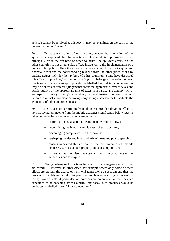an issue cannot be resolved at this level it may be examined on the basis of the criteria set out in Chapter 2.

29. Unlike the situation of mismatching, where the interaction of tax systems is exploited by the enactment of special tax provisions which principally erode the tax base of other countries, the spillover effects on the other countries is not a mere side effect, incidental to the implementation of a domestic tax policy. Here the effect is for one country to redirect capital and financial flows and the corresponding revenue from the other jurisdictions by bidding aggressively for the tax base of other countries. Some have described this effect as "poaching" as the tax base "rightly" belongs to the other country. Practices of this sort can appropriately be labelled harmful tax competition as they do not reflect different judgements about the appropriate level of taxes and public outlays or the appropriate mix of taxes in a particular economy, which are aspects of every country's sovereignty in fiscal matters, but are, in effect, tailored to attract investment or savings originating elsewhere or to facilitate the avoidance of other countries' taxes.

30. Tax havens or harmful preferential tax regimes that drive the effective tax rate levied on income from the mobile activities significantly below rates in other countries have the potential to cause harm by:

- − distorting financial and, indirectly, real investment flows;
- − undermining the integrity and fairness of tax structures;
- − discouraging compliance by all taxpayers;
- − re-shaping the desired level and mix of taxes and public spending;
- − causing undesired shifts of part of the tax burden to less mobile tax bases, such as labour, property and consumption; and
- − increasing the administrative costs and compliance burdens on tax authorities and taxpayers.

31. Clearly, where such practices have all of these negative effects they are harmful. However, in other cases, for example where only some of these effects are present, the degree of harm will range along a spectrum and thus the process of identifying harmful tax practices involves a balancing of factors. If the spillover effects of particular tax practices are so substantial that they are concluded to be poaching other countries' tax bases, such practices would be doubtlessly labelled "harmful tax competition".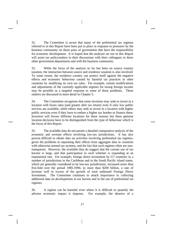32. The Committee is aware that many of the preferential tax regimes referred to in this Report have been put in place in response to pressures by the business community on those parts of government that have the responsibility for economic development. It is hoped that the analyses set out in this Report will assist tax policymakers in their discussions with their colleagues in these other government departments and with the business community.

33. While the focus of the analysis so far has been on source country taxation, the interaction between source and residence taxation is also involved. To some extent, the residence country can protect itself against the negative effects and economic behaviour caused by harmful tax practices in other countries by modifying its own tax rules. For example, certain modifications and adjustments of the currently applicable regimes for taxing foreign income may be possible as a targeted response to some of these problems. These matters are discussed in more detail in Chapter 3.

34. The Committee recognises that some investors may seek to invest in a location with lower rates (and greater after tax return) even if only low public services are available, while others may seek to invest in a location with higher public services even if they have to endure a higher tax burden to finance them. Investors will favour different locations for these reasons but these genuine location decisions have to be distinguished from the type of behaviour which is the focus of this Report.

35. The available data do not permit a detailed comparative analysis of the economic and revenue effects involving low-tax jurisdictions. It has also proven difficult to obtain data on activities involving preferential tax regimes, given the problems in separating their effects from aggregate data in countries with otherwise normal tax systems, and the fact that such regimes often are nontransparent. However, the available data do suggest that the current use of tax havens is large, and that participation in such schemes is expanding at an exponential rate. For example, foreign direct investment by G7 countries in a number of jurisdictions in the Caribbean and in the South Pacific island states, which are generally considered to be low-tax jurisdictions, increased more than five-fold over the period 1985-1994, to more than \$200 billion, a rate of increase well in excess of the growth of total outbound Foreign Direct Investment. The Committee continues to attach importance to collecting additional data on developments in tax havens and in the use of preferential tax regimes.

36. A regime can be harmful even where it is difficult to quantify the adverse economic impact it imposes. For example, the absence of a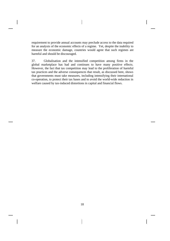requirement to provide annual accounts may preclude access to the data required for an analysis of the economic effects of a regime. Yet, despite the inability to measure the economic damage, countries would agree that such regimes are harmful and should be discouraged.

37. Globalisation and the intensified competition among firms in the global marketplace has had and continues to have many positive effects. However, the fact that tax competition may lead to the proliferation of harmful tax practices and the adverse consequences that result, as discussed here, shows that governments must take measures, including intensifying their international co-operation, to protect their tax bases and to avoid the world-wide reduction in welfare caused by tax-induced distortions in capital and financial flows.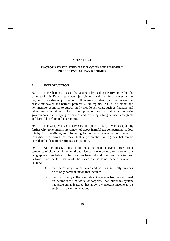### **CHAPTER 2**

# **FACTORS TO IDENTIFY TAX HAVENS AND HARMFUL PREFERENTIAL TAX REGIMES**

#### **I. INTRODUCTION**

38. This Chapter discusses the factors to be used in identifying, within the context of this Report, tax-haven jurisdictions and harmful preferential tax regimes in non-haven jurisdictions. It focuses on identifying the factors that enable tax havens and harmful preferential tax regimes in OECD Member and non-member countries to attract highly mobile activities, such as financial and other service activities. The Chapter provides practical guidelines to assist governments in identifying tax havens and in distinguishing between acceptable and harmful preferential tax regimes.

39. The Chapter takes a necessary and practical step towards explaining further why governments are concerned about harmful tax competition. It does this by first identifying and discussing factors that characterise tax havens. It then discusses factors that may identify preferential tax regimes that can be considered to lead to harmful tax competition.

40. At the outset, a distinction must be made between three broad categories of situations in which the tax levied in one country on income from geographically mobile activities, such as financial and other service activities, is lower than the tax that would be levied on the same income in another country:

- *i*) the first country is a tax haven and, as such, generally imposes no or only nominal tax on that income;
- *ii*) the first country collects significant revenues from tax imposed on income at the individual or corporate level but its tax system has preferential features that allow the relevant income to be subject to low or no taxation;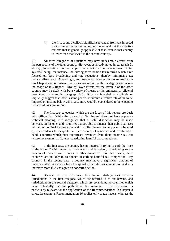*iii*) the first country collects significant revenues from tax imposed on income at the individual or corporate level but the effective tax rate that is generally applicable at that level in that country is lower than that levied in the second country.

41. All three categories of situations may have undesirable effects from the perspective of the other country. However, as already noted in paragraph 21 above, globalisation has had a positive effect on the development of tax systems, being, for instance, the driving force behind tax reforms which have focused on base broadening and rate reductions, thereby minimising tax induced distortions. Accordingly, and insofar as the other factors referred to in this Chapter are not present, the issues arising in this third category are outside the scope of this Report. Any spillover effects for the revenue of the other country may be dealt with by a variety of means at the unilateral or bilateral level (see, for example, paragraph 98). It is not intended to explicitly or implicitly suggest that there is some general minimum effective rate of tax to be imposed on income below which a country would be considered to be engaging in harmful tax competition.

42. The first two categories, which are the focus of this report, are dealt with differently. While the concept of "tax haven" does not have a precise technical meaning, it is recognised that a useful distinction may be made between, on the one hand, countries that are able to finance their public services with no or nominal income taxes and that offer themselves as places to be used by non-residents to escape tax in their country of residence and, on the other hand, countries which raise significant revenues from their income tax but whose tax system has features constituting harmful tax competition.

43. In the first case, the country has no interest in trying to curb the "race to the bottom" with respect to income tax and is actively contributing to the erosion of income tax revenues in other countries. For that reason, these countries are unlikely to co-operate in curbing harmful tax competition. By contrast, in the second case, a country may have a significant amount of revenues which are at risk from the spread of harmful tax competition and it is therefore more likely to agree on concerted action.

44. Because of this difference, this Report distinguishes between jurisdictions in the first category, which are referred to as tax havens, and jurisdictions in the second category, which are considered as countries which have potentially harmful preferential tax regimes. This distinction is particularly relevant for the application of the Recommendations in Chapter 3 since, for example, Recommendation 16 applies only to tax havens, whereas the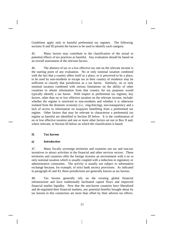Guidelines apply only to harmful preferential tax regimes. The following sections II and III present the factors to be used to identify each category.

45. Many factors may contribute to the classification of the actual or potential effects of tax practices as harmful. Any evaluation should be based on an overall assessment of the relevant factors.

46. The absence of tax or a low effective tax rate on the relevant income is the starting point of any evaluation. No or only nominal taxation combined with the fact that a country offers itself as a place, or is perceived to be a place, to be used by non-residents to escape tax in their country of residence may be sufficient to classify that jurisdiction as a tax haven. Similarly, no or only nominal taxation combined with serious limitations on the ability of other countries to obtain information from that country for tax purposes would typically identify a tax haven. With respect to preferential tax regimes, key factors, other than no or low effective taxation on the relevant income, include: whether the regime is restricted to non-residents and whether it is otherwise isolated from the domestic economy (*i.e.*, ring-fencing), non-transparency and a lack of access to information on taxpayers benefiting from a preferential tax regime. Other factors that may be relevant to characterise a preferential tax regime as harmful are identified in Section III below. It is the combination of no or low effective taxation and one or more other factors set out in Box II and, where relevant, in Section III below on which the classification is based.

# **II. Tax havens**

#### *a) Introduction*

47. Many fiscally sovereign territories and countries use tax and non-tax incentives to attract activities in the financial and other services sectors. These territories and countries offer the foreign investor an environment with a no or only nominal taxation which is usually coupled with a reduction in regulatory or administrative constraints. The activity is usually not subject to information exchange because, for example, of strict bank secrecy provisions. As indicated in paragraph 42 and 43, these jurisdictions are generally known as tax havens.

48. Tax havens generally rely on the existing global financial infrastructure and have traditionally facilitated capital flows and improved financial market liquidity. Now that the non-haven countries have liberalised and de-regulated their financial markets, any potential benefits brought about by tax havens in this connection are more than offset by their adverse tax effects.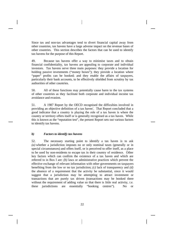Since tax and non-tax advantages tend to divert financial capital away from other countries, tax havens have a large adverse impact on the revenue bases of other countries. This section describes the factors that can be used to identify tax havens for the purpose of this Report.

49. Because tax havens offer a way to minimise taxes and to obtain financial confidentiality, tax havens are appealing to corporate and individual investors. Tax havens serve three main purposes: they provide a location for holding passive investments ("money boxes"); they provide a location where "paper" profits can be booked; and they enable the affairs of taxpayers, particularly their bank accounts, to be effectively shielded from scrutiny by tax authorities of other countries.

50. All of these functions may potentially cause harm to the tax systems of other countries as they facilitate both corporate and individual income tax avoidance and evasion.

51. A 1987 Report by the OECD recognised the difficulties involved in providing an objective definition of a tax haven<sup>1</sup>. That Report concluded that a good indicator that a country is playing the role of a tax haven is where the country or territory offers itself or is generally recognised as a tax haven. While this is known as the "reputation test", the present Report sets out various factors to identify tax havens.

# *b) Factors to identify tax havens*

52. The necessary starting point to identify a tax haven is to ask *(a)* whether a jurisdiction imposes no or only nominal taxes (generally or in special circumstances) and offers itself, or is perceived to offer itself, as a place to be used by non-residents to escape tax in their country of residence. Other key factors which can confirm the existence of a tax haven and which are referred to in Box I are: *(b)* laws or administrative practices which prevent the effective exchange of relevant information with other governments on taxpayers benefiting from the low or no tax jurisdiction; *(c)* lack of transparency and *(d)* the absence of a requirement that the activity be substantial, since it would suggest that a jurisdiction may be attempting to attract investment or transactions that are purely tax driven (transactions may be booked there without the requirement of adding value so that there is little real activity, *i.e.* these jurisdictions are essentially "booking centres"). No or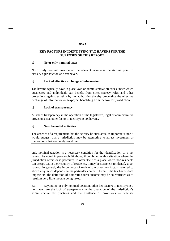# *Box I*

# **KEY FACTORS IN IDENTIFYING TAX HAVENS FOR THE PURPOSES OF THIS REPORT**

# *a)* **No or only nominal taxes**

No or only nominal taxation on the relevant income is the starting point to classify a jurisdiction as a tax haven.

# *b)* **Lack of effective exchange of information**

Tax havens typically have in place laws or administrative practices under which businesses and individuals can benefit from strict secrecy rules and other protections against scrutiny by tax authorities thereby preventing the effective exchange of information on taxpayers benefiting from the low tax jurisdiction.

# *c)* **Lack of transparency**

A lack of transparency in the operation of the legislative, legal or administrative provisions is another factor in identifying tax havens.

# *d)* **No substantial activities**

The absence of a requirement that the activity be substantial is important since it would suggest that a jurisdiction may be attempting to attract investment or transactions that are purely tax driven.

only nominal taxation is a necessary condition for the identification of a tax haven. As noted in paragraph 46 above, if combined with a situation where the jurisdiction offers or is perceived to offer itself as a place where non-residents can escape tax in their country of residence, it may be sufficient to identify a tax haven. In general, the importance of each of the other key factors referred to above very much depends on the particular context. Even if the tax haven does impose tax, the definition of domestic source income may be so restricted as to result in very little income being taxed.

53. Beyond no or only nominal taxation, other key factors in identifying a tax haven are the lack of transparency in the operation of the jurisdiction's administrative tax practices and the existence of provisions --- whether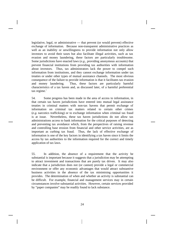legislative, legal, or administrative --- that prevent (or would prevent) effective exchange of information. Because non-transparent administrative practices as well as an inability or unwillingness to provide information not only allow investors to avoid their taxes but also facilitate illegal activities, such as tax evasion and money laundering, these factors are particularly troublesome. Some jurisdictions have enacted laws (*e.g.*, providing anonymous accounts) that prevent financial institutions from providing tax authorities with information about investors. Thus, tax administrators lack the power to compel such information from institutions, and they cannot exchange information under tax treaties or under other types of mutual assistance channels. The most obvious consequence of the failure to provide information is that it facilitates tax evasion and money laundering. Thus, these factors are particularly harmful characteristics of a tax haven and, as discussed later, of a harmful preferential tax regime. $2$ 

54. Some progress has been made in the area of access to information, in that certain tax haven jurisdictions have entered into mutual legal assistance treaties in criminal matters with non-tax havens that permit exchange of information on criminal tax matters related to certain other crimes (*e.g.* narcotics trafficking) or to exchange information when criminal tax fraud is at issue. Nevertheless, these tax haven jurisdictions do not allow tax administrations access to bank information for the critical purposes of detecting and preventing tax avoidance which, from the perspectives of raising revenue and controlling base erosion from financial and other service activities, are as important as curbing tax fraud. Thus, the lack of effective exchange of information is one of the key factors in identifying a tax haven since it limits the access by tax authorities to the information required for the correct and timely application of tax laws.

55. In addition, the absence of a requirement that the activity be substantial is important because it suggests that a jurisdiction may be attempting to attract investment and transactions that are purely tax driven. It may also indicate that a jurisdiction does not (or cannot) provide a legal or commercial environment or offer any economic advantages that would attract substantive business activities in the absence of the tax minimising opportunities it provides. The determination of when and whether an activity is substantial can be difficult. For example, financial and management services may in certain circumstances involve substantial activities. However, certain services provided by "paper companies" may be readily found to lack substance.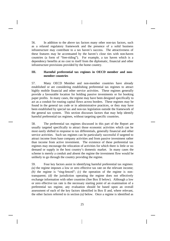56. In addition to the above tax factors many other non-tax factors, such as a relaxed regulatory framework and the presence of a solid business infrastructure may contribute to a tax haven's success. The attractiveness of these features may be accentuated by the haven's close ties with non-haven countries (a form of "free-riding"). For example, a tax haven which is a dependency benefits at no cost to itself from the diplomatic, financial and other infrastructure provisions provided by the home country.

# **III. Harmful preferential tax regimes in OECD member and nonmember countries**

57. Many OECD Member and non-member countries have already established or are considering establishing preferential tax regimes to attract highly mobile financial and other service activities. These regimes generally provide a favourable location for holding passive investments or for booking paper profits. In many cases, the regime may have been designed specifically to act as a conduit for routing capital flows across borders. These regimes may be found in the general tax code or in administrative practices, or they may have been established by special tax and non-tax legislation outside the framework of the general tax system. This section discusses factors that may help identify harmful preferential tax regimes, without targeting specific countries.

58. The preferential tax regimes discussed in this part of the Report are usually targeted specifically to attract those economic activities which can be most easily shifted in response to tax differentials, generally financial and other service activities. Such tax regimes can be particularly successful if targeted to attract income from base company activities and from passive investment rather than income from active investment. The existence of these preferential tax regimes may encourage the relocation of activities for which there is little or no demand or supply in the host country's domestic market. In many cases the scheme is merely a conduit and absent the regime the investment flow would be unlikely to go through the country providing the regime.

59. Four key factors assist in identifying harmful preferential tax regimes: *(a)* the regime imposes a low or zero effective tax rate on the relevant income; *(b)* the regime is "ring-fenced"; *(c)* the operation of the regime is nontransparent; *(d)* the jurisdiction operating the regime does not effectively exchange information with other countries (See Box II below). Although a low or zero effective tax rate is the necessary starting point of an examination of a preferential tax regime, any evaluation should be based upon an overall assessment of each of the key factors identified in Box II and, where relevant, the other factors referred to in section *(a)* below. Once a regime is identified as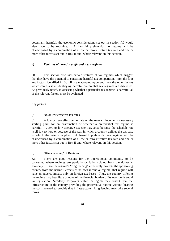potentially harmful, the economic considerations set out in section *(b)* would also have to be examined. A harmful preferential tax regime will be characterised by a combination of a low or zero effective tax rate and one or more other factors set out in Box II and, where relevant, in this section.

#### *a) Features of harmful preferential tax regimes*

60. This section discusses certain features of tax regimes which suggest that they have the potential to constitute harmful tax competition. First the four key factors identified in Box II are elaborated upon and then the other factors which can assist in identifying harmful preferential tax regimes are discussed. As previously noted, in assessing whether a particular tax regime is harmful, all of the relevant factors must be evaluated.

#### *Key factors*

#### *i*) No or low effective tax rates

61. A low or zero effective tax rate on the relevant income is a necessary starting point for an examination of whether a preferential tax regime is harmful. A zero or low effective tax rate may arise because the schedule rate itself is very low or because of the way in which a country defines the tax base to which the rate is applied. A harmful preferential tax regime will be characterised by a combination of a low or zero effective tax rate and one or more other factors set out in Box II and, where relevant, in this section.

#### *ii)* "Ring-Fencing" of Regimes

62. There are good reasons for the international community to be concerned where regimes are partially or fully isolated from the domestic economy. Since the regime's "ring fencing" effectively protects the sponsoring country from the harmful effects of its own incentive regime, that regime will have an adverse impact only on foreign tax bases. Thus, the country offering the regime may bear little or none of the financial burden of its own preferential tax legislation. Similarly, taxpayers within the regime may benefit from the infrastructure of the country providing the preferential regime without bearing the cost incurred to provide that infrastructure. Ring fencing may take several forms.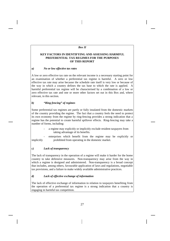#### *Box II*

#### **KEY FACTORS IN IDENTIFYING AND ASSESSING HARMFUL PREFERENTIAL TAX REGIMES FOR THE PURPOSES OF THIS REPORT**

#### *a) No or low effective tax rates*

A low or zero effective tax rate on the relevant income is a necessary starting point for an examination of whether a preferential tax regime is harmful. A zero or low effective tax rate may arise because the schedule rate itself is very low or because of the way in which a country defines the tax base to which the rate is applied. A harmful preferential tax regime will be characterised by a combination of a low or zero effective tax rate and one or more other factors set out in this Box and, where relevant, in this section.

#### *b) "Ring fencing" of regimes*

Some preferential tax regimes are partly or fully insulated from the domestic markets of the country providing the regime. The fact that a country feels the need to protect its own economy from the regime by ring-fencing provides a strong indication that a regime has the potential to create harmful spillover effects. Ring-fencing may take a number of forms, including:

> a regime may explicitly or implicitly exclude resident taxpayers from taking advantage of its benefits.

enterprises which benefit from the regime may be explicitly or implicitly prohibited from operating in the domestic market.

#### *c) Lack of transparency*

The lack of transparency in the operation of a regime will make it harder for the home country to take defensive measures. Non-transparency may arise from the way in which a regime is designed and administered. Non-transparency is a broad concept that includes, among others, favourable application of laws and regulations, negotiable tax provisions, and a failure to make widely available administrative practices.

#### *d) Lack of effective exchange of information*

The lack of effective exchange of information in relation to taxpayers benefiting from the operation of a preferential tax regime is a strong indication that a country is engaging in harmful tax competition.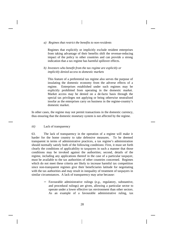*a) Regimes that restrict the benefits to non-residents*

Regimes that explicitly or implicitly exclude resident enterprises from taking advantage of their benefits shift the revenue-reducing impact of the policy to other countries and can provide a strong indication that a tax regime has harmful spillover effects.

*b) Investors who benefit from the tax regime are explicitly or implicitly denied access to domestic markets*

This feature of a preferential tax regime also serves the purpose of insulating the domestic economy from the adverse effects of a regime. Enterprises established under such regimes may be explicitly prohibited from operating in the domestic market. Market access may be denied on a de-facto basis through the special tax privileges not applying or being otherwise neutralised insofar as the enterprises carry on business in the regime-country's domestic market.

In other cases, the regime may not permit transactions in the domestic currency, thus ensuring that the domestic monetary system is not affected by the regime.

*iii)* Lack of transparency

63. The lack of transparency in the operation of a regime will make it harder for the home country to take defensive measures. To be deemed transparent in terms of administrative practices, a tax regime's administration should normally satisfy both of the following conditions: First, it must set forth clearly the conditions of applicability to taxpayers in such a manner that those conditions may be invoked against the authorities; second, details of the regime, including any applications thereof in the case of a particular taxpayer, must be available to the tax authorities of other countries concerned. Regimes which do not meet these criteria are likely to increase harmful tax competition since non-transparent regimes give their beneficiaries latitude for negotiating with the tax authorities and may result in inequality of treatment of taxpayers in similar circumstances. A lack of transparency may arise because:

> − Favourable administrative rulings (*e.g.*, regulatory, substantive, and procedural rulings) are given, allowing a particular sector to operate under a lower effective tax environment than other sectors. As an example of a favourable administrative ruling, tax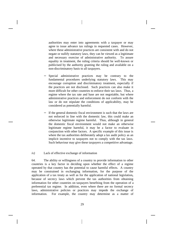authorities may enter into agreements with a taxpayer or may agree to issue advance tax rulings in requested cases. However, where these administrative practices are consistent with and do not negate or nullify statutory laws, they can be viewed as a legitimate and necessary exercise of administrative authority. To assure equality in treatment, the ruling criteria should be well-known or publicised by the authority granting the ruling and available on a non-discriminatory basis to all taxpayers.

- − Special administrative practices may be contrary to the fundamental procedures underlying statutory laws. This may encourage corruption and discriminatory treatment, especially if the practices are not disclosed. Such practices can also make it more difficult for other countries to enforce their tax laws. Thus, a regime where the tax rate and base are not negotiable, but where administrative practices and enforcement do not conform with the law or do not stipulate the conditions of applicability, may be considered as potentially harmful.
- If the general domestic fiscal environment is such that the laws are not enforced in line with the domestic law, this could make an otherwise legitimate regime harmful. Thus, although in general the domestic fiscal environment would not make an otherwise legitimate regime harmful, it may be a factor to evaluate in conjunction with other factors. A specific example of this issue is where the tax authorities deliberately adopt a lax audit policy as an implicit incentive to taxpayers not to comply with the tax laws. Such behaviour may give these taxpayers a competitive advantage.

#### *iv)* Lack of effective exchange of information

64. The ability or willingness of a country to provide information to other countries is a key factor in deciding upon whether the effect of a regime operated by that country has the potential to cause harmful effects. A country may be constrained in exchanging information, for the purpose of the application of a tax treaty as well as for the application of national legislation**,** because of secrecy laws which prevent the tax authorities from obtaining information for other countries on taxpayers benefiting from the operation of a preferential tax regime. In addition, even where there are no formal secrecy laws, administrative policies or practices may impede the exchange of information. For example, the country may determine as a matter of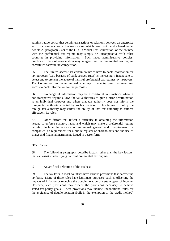administrative policy that certain transactions or relations between an enterprise and its customers are a business secret which need not be disclosed under Article 26 paragraph 2 (c) of the OECD Model Tax Convention, or the country with the preferential tax regime may simply be uncooperative with other countries in providing information. Such laws, administrative policies, practices or lack of co-operation may suggest that the preferential tax regime constitutes harmful tax competition.

65. The limited access that certain countries have to bank information for tax purposes (*e.g.*, because of bank secrecy rules) is increasingly inadequate to detect and to prevent the abuse of harmful preferential tax regimes by taxpayers. The Committee has commissioned a survey of country practices regarding access to bank information for tax purposes.

66. Exchange of information may be a constraint in situations where a non-transparent regime allows the tax authorities to give a prior determination to an individual taxpayer and where that tax authority does not inform the foreign tax authority affected by such a decision. This failure to notify the foreign tax authority may curtail the ability of that tax authority to enforce effectively its rules.

67. Other factors that reflect a difficulty in obtaining the information needed to enforce statutory laws, and which may make a preferential regime harmful, include the absence of an annual general audit requirement for companies, no requirement for a public register of shareholders and the use of shares and financial instruments issued in bearer form.

#### *Other factors*

68. The following paragraphs describe factors, other than the key factors, that can assist in identifying harmful preferential tax regimes.

# *v)* An artificial definition of the tax base

69. The tax laws in most countries have various provisions that narrow the tax base. Many of these rules have legitimate purposes, such as offsetting the impacts of inflation or reducing the double taxation of certain types of income. However, such provisions may exceed the provisions necessary to achieve stated tax policy goals. These provisions may include unconditional rules for the avoidance of double taxation (built in the exemption or the credit method)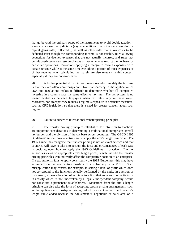that go beyond the ordinary scope of the instruments to avoid double taxation economic as well as judicial - (*e.g.* unconditional participation exemption or capital gains rules, full credit), as well as other rules that allow costs to be deducted even though the corresponding income is not taxable, rules allowing deductions for deemed expenses that are not actually incurred, and rules that permit overly generous reserve charges or that otherwise restrict the tax base for particular operations. Provisions applying a margin to certain expenses or to certain revenue while at the same time excluding a portion of those expenses or of that revenue when calculating the margin are also relevant in this context, especially if they are non-transparent.

70. A further potential difficulty with measures which modify the tax base is that they are often non-transparent. Non-transparency in the application of laws and regulations makes it difficult to determine whether all companies investing in a country face the same effective tax rate. The tax system is no longer neutral as between taxpayers when tax rates vary in these ways. Moreover, non-transparency reduces a regime's exposure to defensive measures, such as CFC legislation, so that there is a need for greater concern about such regimes.

#### *vi)* Failure to adhere to international transfer pricing principles

71. The transfer pricing principles established for intra-firm transactions are important considerations in determining a multinational enterprise's overall tax burden and the division of the tax base across countries. The OECD 1995 Guidelines<sup>3</sup> set out how countries are to apply the arm's length principle. The 1995 Guidelines recognise that transfer pricing is not an exact science and that countries will have to take into account the facts and circumstances of each case in deciding upon how to apply the 1995 Guidelines in practice. The tax authorities views on appropriate arm's length prices, which underlie the transfer pricing principles, can indirectly affect the competitive position of an enterprise. If a tax authority fails to apply consistently the 1995 Guidelines, this may have an impact on the competitive position of a subsidiary of a MNE. Such misapplication may consist, for example, in setting a level of profit which does not correspond to the functions actually performed by the entity in question or conversely, excess allocation of earnings to a firm that engages in no activity or in activity which, if not undertaken by a legally independent company, would not constitute a permanent establishment. Deviations from the arm's length principle can also take the form of accepting certain pricing arrangements, such as the application of cost-plus pricing, which does not reflect the true arm's length value added because the adjustment is negotiable or calculated on a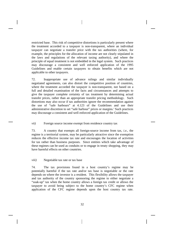restricted base. This risk of competitive distortions is particularly present where the treatment accorded to a taxpayer is non-transparent, where an individual taxpayer can negotiate a transfer price with the tax authorities (where, for example, the principles for the allocation of income are not clearly stipulated in the laws and regulations of the relevant taxing authority), and where the principle of equal treatment is not embedded in the legal system. Such practices may discourage a consistent and well enforced application of the 1995 Guidelines and enable certain taxpayers to obtain benefits which are not applicable to other taxpayers.

72. Inappropriate use of advance rulings and similar individually negotiated agreements, can also distort the competitive position of countries, where the treatment accorded the taxpayer is non-transparent, not based on a full and detailed examination of the facts and circumstances and attempts to give the taxpayer complete certainty of tax treatment by determining actual transfer prices, rather than an appropriate transfer pricing methodology. Such distortions may also occur if tax authorities ignore the recommendation against the use of "safe harbours" at 4.123 of the Guidelines and use their administrative discretion to set "safe harbour" prices or margins.<sup>4</sup> Such practices may discourage a consistent and well enforced application of the Guidelines.

*vii)* Foreign source income exempt from residence country tax

73. A country that exempts all foreign-source income from tax, *i.e.*, the regime is a territorial system, may be particularly attractive since the exemption reduces the effective income tax rate and encourages the location of activities for tax rather than business purposes. Since entities which take advantage of these regimes can be used as conduits or to engage in treaty shopping, they may have harmful effects on other countries.

*viii)* Negotiable tax rate or tax base

74. The tax provisions found in a host country's regime may be potentially harmful if the tax rate and/or tax base is negotiable or the rate depends on where the investor is a resident. This flexibility allows the taxpayer and tax authority of the country sponsoring the regime to either negotiate a "soak-up" tax when the home country allows a foreign tax credit or allows the taxpayer to avoid being subject to the home country's CFC regime when application of the CFC regime depends upon the host country tax rate.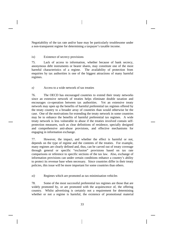Negotiability of the tax rate and/or base may be particularly troublesome under a non-transparent regime for determining a taxpayer's taxable income.

### ix) Existence of secrecy provisions

75. Lack of access to information, whether because of bank secrecy, anonymous debt instruments or bearer shares, may constitute one of the most harmful characteristics of a regime. The availability of protection from enquiries by tax authorities is one of the biggest attractions of many harmful regimes.

#### *x)* Access to a wide network of tax treaties

76. The OECD has encouraged countries to extend their treaty networks since an extensive network of treaties helps eliminate double taxation and encourages co-operation between tax authorities. Yet an extensive treaty network may open up the benefits of harmful preferential tax regimes offered by the treaty country to a broader array of countries than would otherwise be the case. One of the motivations for extending the treaty network in some countries may be to enhance the benefits of harmful preferential tax regimes. A wide treaty network is less vulnerable to abuse if the treaties involved contain selfprotection measures, such as clear definitions of residence, specially designed and comprehensive anti-abuse provisions, and effective mechanisms for engaging in information exchange.

77. However, the impact, and whether the effect is harmful or not, depends on the type of regime and the contents of the treaties. For example, many regimes are clearly defined and, thus, can be carved out of treaty coverage through general or specific "exclusion" provisions based on tax rate comparisons or reference to specific sections of the tax law. Also, exchange of information provisions can under certain conditions enhance a country's ability to protect its revenue base when necessary. Since countries differ in their treaty policies, this issue will be more important for some countries than others.

*xi)* Regimes which are promoted as tax minimisation vehicles

78. Some of the most successful preferential tax regimes are those that are widely promoted by, or are promoted with the acquiescence of, the offering country. Whilst advertising is certainly not a requirement for determining whether or not a regime is harmful, the existence of promotional material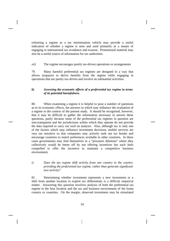exhorting a regime as a tax minimisation vehicle may provide a useful indication of whether a regime is seen and used primarily as a means of engaging in international tax avoidance and evasion. Promotional material may also be a useful source of information for tax authorities.

*xii)* The regime encourages purely tax-driven operations or arrangements

79. Many harmful preferential tax regimes are designed in a way that allows taxpayers to derive benefits from the regime while engaging in operations that are purely tax-driven and involve no substantial activities.

#### *b) Assessing the economic effects of a preferential tax regime in terms of its potential harmfulness*

80. When examining a regime it is helpful to pose a number of questions as to its economic effects, the answers to which may influence the evaluation of a regime in the context of the present study. It should be recognised, however, that it may be difficult to gather the information necessary to answer these questions, partly because some of the preferential tax regimes in question are non-transparent and the jurisdictions within which they operate do not provide the data required to carry out such an analysis. Also, although tax is only one of the factors which may influence investment decisions, mobile services are very tax sensitive so that companies may actively seek out tax breaks and encourage countries to match preferences available in other countries. In these cases governments may find themselves in a "prisoners dilemma" where they collectively would be better off by not offering incentives but each feels compelled to offer the incentive to maintain a competitive business environment.

*i) Does the tax regime shift activity from one country to the country providing the preferential tax regime, rather than generate significant new activity?*

81. Determining whether investment represents a new investment or a shift from another location to exploit tax differentials is a difficult empirical matter. Answering this question involves analysis of both the preferential tax regime in the host location and the tax and business environment of the home country or countries. On the margin, observed investment may be stimulated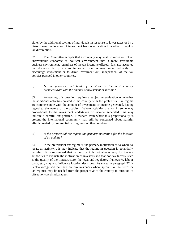either by the additional savings of individuals in response to lower taxes or by a distortionary reallocation of investment from one location to another to exploit tax differentials.

82. The Committee accepts that a company may wish to move out of an unfavourable economic or political environment into a more favourable business environment, regardless of the tax incentive offered. It is also accepted that domestic tax provisions in some countries may serve indirectly to discourage investment or to drive investment out, independent of the tax policies pursued in other countries.

#### *ii) Is the presence and level of activities in the host country commensurate with the amount of investment or income?*

83. Answering this question requires a subjective evaluation of whether the additional activities created in the country with the preferential tax regime are commensurate with the amount of investment or income generated, having regard to the nature of the activity. Where activities are not in some way proportional to the investment undertaken or income generated, this may indicate a harmful tax practice. However, even where this proportionality is present the international community may still be concerned about harmful effects created by preferential tax regimes in other countries.

# *iii) Is the preferential tax regime the primary motivation for the location of an activity?*

84. If the preferential tax regime is the primary motivation as to where to locate an activity, this may indicate that the regime in question is potentially harmful. It is recognised that in practice it is not always easy for the tax authorities to evaluate the motivation of investors and that non-tax factors, such as the quality of the infrastructure, the legal and regulatory framework, labour costs, etc., may also influence location decisions. As stated in paragraph 27, it is also recognised that there are circumstances where special tax incentives or tax regimes may be needed from the perspective of the country in question to offset non-tax disadvantages.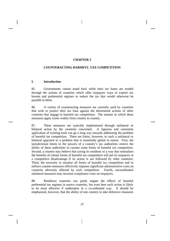# **CHAPTER 3**

## **COUNTERACTING HARMFUL TAX COMPETITION**

#### **I. Introduction**

85. Governments cannot stand back while their tax bases are eroded through the actions of countries which offer taxpayers ways to exploit tax havens and preferential regimes to reduce the tax that would otherwise be payable to them.

86. A variety of counteracting measures are currently used by countries that wish to protect their tax base against the detrimental actions of other countries that engage in harmful tax competition. The manner in which these measures apply varies widely from country to country.

87. These measures are typically implemented through unilateral or bilateral action by the countries concerned. A rigorous and consistent application of existing tools can go a long way towards addressing the problem of harmful tax competition. There are limits, however, to such a unilateral or bilateral approach to a problem that is essentially global in nature. First, the jurisdictional limits to the powers of a country's tax authorities restrict the ability of these authorities to counter some forms of harmful tax competition. Second, a country may believe that taxing its residents in a way that neutralises the benefits of certain forms of harmful tax competition will put its taxpayers at a competitive disadvantage if its action is not followed by other countries. Third, the necessity to monitor all forms of harmful tax competition and to enforce counter-measures effectively imposes significant administrative costs on countries adversely affected by such competition. Fourth, uncoordinated unilateral measures may increase compliance costs on taxpayers.

88. Residence countries can partly negate the effects of harmful preferential tax regimes in source countries, but even here such action is likely to be most effective if undertaken in a co-ordinated way.It should be emphasised, however, that the ability of one country to take defensive measures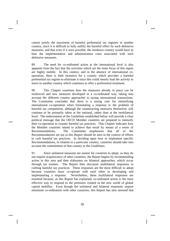cannot justify the enactment of harmful preferential tax regimes in another country, since it is difficult to fully nullify the harmful effect by such defensive measures, and that even if it were possible, the residence country would have to bear the implementation and administration costs associated with such defensive measures.

89. The need for co-ordinated action at the international level is also apparent from the fact that the activities which are the main focus of this report are highly mobile. In this context, and in the absence of international cooperation, there is little incentive for a country which provides a harmful preferential tax regime to eliminate it since this could merely lead the activity to move to another country which continues to offer a preferential treatment.

90. This Chapter examines how the measures already in place can be reinforced and new measures developed in a co-ordinated way, taking into account the different country approaches to taxing international transactions. The Committee concludes that there is a strong case for intensifying international co-operation when formulating a response to the problem of harmful tax competition, although the counteracting measures themselves will continue to be primarily taken at the national, rather than at the multilateral level. The endorsement of the Guidelines established below will provide a clear political message that the OECD Member countries are prepared to intensify their co-operation to counter harmful tax practices. This Chapter indicates how the Member countries intend to achieve that result by means of a series of Recommendations. The Committee emphasises that all of the Recommendations set out in this Report should be seen in the context of efforts to curb harmful tax practices. In deciding upon how to implement specific Recommendations, in relation to a particular country, countries should take into account the commitment of that country to the Guidelines.

91. Since unilateral measures are easiest for countries to adopt, as they do not require acquiescence of other countries, the Report begins by recommending action in this area and then elaborates on bilateral approaches, which occur through tax treaties. The Report then discusses multilateral responses to curbing harmful tax practices. These responses are the most difficult to adopt because countries must co-operate with each other in developing and implementing a response. Nevertheless, these multilateral responses are essential because, as this Report has explained, co-ordinated action is the most effective way to respond to the pressures created in the new world of global capital mobility. Even though the unilateral and bilateral responses require minimum co-ordination with other countries, this Report has also stressed that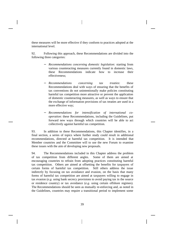these measures will be more effective if they conform to practices adopted at the international level.

92. Following this approach, these Recommendations are divided into the following three categories:

- − *Recommendations concerning domestic legislation:* starting from various counteracting measures currently found in domestic laws, these Recommendations indicate how to increase their effectiveness;
- − *Recommendations concerning tax treaties*: these Recommendations deal with ways of ensuring that the benefits of tax conventions do not unintentionally make policies constituting harmful tax competition more attractive or prevent the application of domestic counteracting measures, as well as ways to ensure that the exchange of information provisions of tax treaties are used in a more effective way;
- − *Recommendations for intensification of international cooperation*: these Recommendations, including the Guidelines, put forward new ways through which countries will be able to act collectively against harmful tax competition*.*

93. In addition to these Recommendations, this Chapter identifies, in a final section, a series of topics where further study could result in additional recommendations, directed at harmful tax competition. It is intended that Member countries and the Committee will to use the new Forum to examine these issues with the aim of developing new proposals.

94. The Recommendations included in this Chapter address the problem of tax competition from different angles. Some of them are aimed at encouraging countries to refrain from adopting practices constituting harmful tax competition. Others are aimed at offsetting the benefits for taxpayers of certain forms of harmful tax competition. Still others address the issue indirectly by focusing on tax avoidance and evasion, on the basis that many forms of harmful tax competition are aimed at taxpayers willing to engage in tax evasion (*e.g.* using bank secrecy provisions to avoid paying tax in the source or residence country) or tax avoidance (*e.g.* using certain offshore regimes). The Recommendations should be seen as mutually re-enforcing and, as noted in the Guidelines, countries may require a transitional period to implement some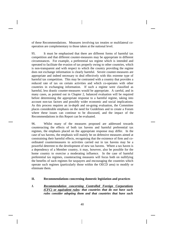of these Recommendations. Measures involving tax treaties or multilateral cooperation are complementary to those taken at the national level.

95. It must be emphasised that there are different forms of harmful tax competition and that different counter-measures may be appropriate in different circumstances. For example, a preferential tax regime which is intended and operated to facilitate the evasion of tax properly owing to other countries, which is non-transparent and with respect to which the country providing the regime does not exchange information is clearly harmful. Severe counter-measures are appropriate and indeed necessary to deal effectively with this extreme type of harmful tax competition. This may be contrasted with a country that provides a reduced rate of tax on certain activities and which co-operates with other countries in exchanging information. If such a regime were classified as harmful, less drastic counter-measures would be appropriate. A careful, and in many cases, as pointed out in Chapter 2, balanced evaluation will be required before determining the appropriate response to a harmful regime, taking into account non-tax factors and possibly wider economic and social implications. As this process requires an in-depth and on-going evaluation, the Committee places considerable emphasis on the need for Guidelines and to create a Forum where these issues can continue to be discussed, and the impact of the Recommendations in this Report can be evaluated.

96. Whilst many of the measures proposed are addressed towards counteracting the effects of both tax havens and harmful preferential tax regimes, the emphasis placed on the appropriate response may differ. In the case of tax havens, the emphasis will mainly be on defensive measures aimed at constraining their harmful effects, recognising that the existence of firm and coordinated countermeasures to activities carried out in tax havens may be a powerful deterrent to the development of new tax havens. Where a tax haven is a dependency of a Member country, it may, however, also be possible for the home country to exercise a moderating influence. In the case of harmful preferential tax regimes, counteracting measures will focus both on nullifying the benefits of such regimes for taxpayers and encouraging the countries which operate such regimes (particularly those within the OECD area) to modify or eliminate them.

## **II. Recommendations concerning domestic legislation and practices**

*1. Recommendation concerning Controlled Foreign Corporations (CFC) or equivalent rules: that countries that do not have such rules consider adopting them and that countries that have such*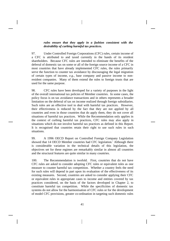### *rules ensure that they apply in a fashion consistent with the desirability of curbing harmful tax practices.*

97. Under Controlled Foreign Corporations (CFC) rules, certain income of a CFC is attributed to and taxed currently in the hands of its resident shareholders. Because CFC rules are intended to eliminate the benefits of the deferral of domestic tax on some or all of the foreign source income of a CFC in most countries that have already implemented CFC rules, the rules primarily serve the function to counter tax avoidance by discouraging the legal migration of certain types of income, *e.g.*, base company and passive income to nonresident companies. Many of them extend the rules to foreign trusts that are used for the same purpose.

98. CFC rules have been developed for a variety of purposes in the light of the overall international tax policies of Member countries. In some cases, the policy focus is on tax avoidance transactions and in others represents a broader limitation on the deferral of tax on income realized through foreign subsidiaries. Such rules are an effective tool to deal with harmful tax practices. However, their effectiveness is reduced by the fact that they are not applied by all countries and even in those countries that do apply them, they do not cover all situations of harmful tax practices. While the Recommendation only applies in the context of curbing harmful tax practices, CFC rules may also apply in situations which do not involve harmful tax practices as defined in this Report. It is recognised that countries retain their right to use such rules in such situations.

99. A 1996 OECD Report on Controlled Foreign Company Legislation showed that 14 OECD Member countries had CFC legislation.<sup>5</sup> Although there is considerable variation in the technical details of this legislation, the objectives set for these regimes are remarkably similar in almost all countries and the structural features are quite similar in many countries.

100. The Recommendation is twofold. First, countries that do not have CFC rules are asked to consider adopting CFC rules or equivalent rules as one measure to counter harmful tax competition. Whether a country feels the need for such rules will depend in part upon its evaluation of the effectiveness of its existing measures. Second, countries are asked to consider applying their CFC or equivalent rules in appropriate cases to income and entities covered by tax practices considered, on the basis of the factors developed in Chapter 2, to constitute harmful tax competition. While the specificities of domestic tax systems do not allow for the harmonisation of CFC rules or for the development of model CFC provisions, greater co-ordination in targeting such domestic rules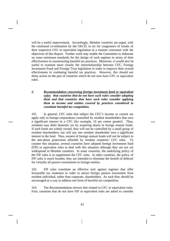will be a useful improvement. Accordingly, Member countries are urged, with the continued co-ordination by the OECD, to try for congruence of results of their respective CFC or equivalent legislation in a manner consistent with the objectives of this Report. Further work may enable the Committee to elaborate on some minimum standards for the design of such regimes in terms of their effectiveness in counteracting harmful tax practices. Moreover, it would also be useful to examine more closely the interrelationship between CFC, Foreign Investment Fund and Foreign Trust legislation in order to improve their overall effectiveness in combating harmful tax practices. However, this should not delay action on the part of countries which do not now have CFC or equivalent rules.

## *2. Recommendation concerning foreign investment fund or equivalent rules: that countries that do not have such rules consider adopting them and that countries that have such rules consider applying them to income and entities covered by practices considered to constitute harmful tax competition.*

101. In general, CFC rules that subject the CFC's income to current tax apply only to foreign corporations controlled by resident shareholders that own a significant interest in a CFC (for example, 10 per centor greater). Thus, residents may defer domestic tax by acquiring shares in foreign mutual funds. If such funds are widely owned, they will not be controlled by a small group of resident shareholders; nor will any one resident shareholder own a significant interest in the fund. Thus, owners of foreign mutual funds will not be subject to the anti-abuse protections afforded by resident countries' CFC rules. To counter this situation, several countries have adopted foreign investment fund (FIF) or equivalent rules to deal with this situation although they are not yet widespread in Member countries. In some countries, the underlying policy of the FIF rules is to supplement the CFC rules. In other countries, the policy of FIF rules is much broader; they are intended to eliminate the benefit of deferral for virtually all passive investments in foreign entities.

102. FIF rules constitute an effective tool against regimes that offer favourable tax treatment in order to attract foreign passive investment from resident individual, rather than corporate, shareholders.As such they should be encouraged as a way to address one form of harmful tax competition.

103. The Recommendation mirrors that related to CFC or equivalent rules. First, countries that do not have FIF or equivalent rules are asked to consider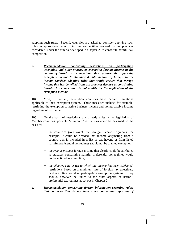adopting such rules. Second, countries are asked to consider applying such rules in appropriate cases to income and entities covered by tax practices considered, under the criteria developed in Chapter 2, to constitute harmful tax competition.

*3. Recommendation concerning restrictions on participation exemption and other systems of exempting foreign income in the context of harmful tax competition: that countries that apply the exemption method to eliminate double taxation of foreign source income consider adopting rules that would ensure that foreign income that has benefited from tax practices deemed as constituting harmful tax competition do not qualify for the application of the exemption method.*

104. Most, if not all, exemption countries have certain limitations applicable to their exemption system. These measures include, for example, restricting the exemption to active business income and taxing passive income regardless of its source.

105. On the basis of restrictions that already exist in the legislation of Member countries, possible "minimum" restrictions could be designed on the basis of:

- − *the countries from which the foreign income originates*: for example, it could be decided that income originating from a country that is included in a list of tax havens or from listed harmful preferential tax regimes should not be granted exemption;
- − *the type of income:* foreign income that clearly could be attributed to practices constituting harmful preferential tax regimes would not be entitled to exemption;
- <sup>−</sup>*the effective rate of tax to which the income has been subjected*: restrictions based on a minimum rate of foreign tax effectively paid are often found in participation exemption systems. They should, however, be linked to the other aspects of harmful preferential tax regimes as set out in Chapter 2.

## *4. Recommendation concerning foreign information reporting rules: that countries that do not have rules concerning reporting of*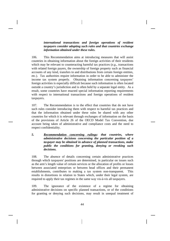### *international transactions and foreign operations of resident taxpayers consider adopting such rules and that countries exchange information obtained under these rules.*

106. This Recommendation aims at introducing measures that will assist countries in obtaining information about the foreign activities of their residents which may be relevant to counteracting harmful tax practices (*e.g.*, transactions with related foreign payers, the ownership of foreign property such as financial accounts of any kind, transfers to and distributions from certain foreign entities, etc.). Tax authorities require information in order to be able to administer the income tax system properly. Obtaining information concerning taxpayers' foreign activities is especially difficult because such information is often located outside a country's jurisdiction and is often held by a separate legal entity. As a result, some countries have enacted special information reporting requirements with respect to international transactions and foreign operations of resident taxpayers.

107. The Recommendation is to the effect that countries that do not have such rules consider introducing them with respect to harmful tax practices and that the information obtained under these rules be shared with any other countries for which it is relevant through exchanges of information on the basis of the provisions of Article 26 of the OECD Model Tax Convention, due account being taken of administrative and compliance costs and the need to respect confidentiality.

*5. Recommendation concerning rulings: that countries, where administrative decisions concerning the particular position of a taxpayer may be obtained in advance of planned transactions, make public the conditions for granting, denying or revoking such decisions.*

108. The absence of details concerning certain administrative practices through which taxpayers' positions are determined, in particular on issues such as the arm's length value of certain services or the allocation of profits or losses between associated enterprises or between head offices and their permanent establishments, contributes to making a tax system non-transparent. This results in distortions in relation to States which, under their legal system, are required to apply their tax regimes in the same way vis-à-vis all taxpayers.

109. The ignorance of the existence of a regime for obtaining administrative decisions on specific planned transactions, or of the conditions for granting or denying such decisions, may result in unequal treatment of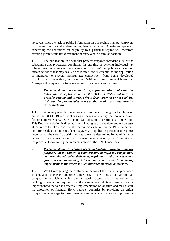taxpayers since the lack of public information on this regime may put taxpayers in different positions when determining their tax situation. Greater transparency concerning the conditions for eligibility to a particular regime will therefore favour a greater equality of treatment of taxpayers in a similar position.

110. The publication, in a way that protects taxpayer confidentiality, of the substantive and procedural conditions for granting or denying individual tax rulings, ensures a greater transparency of countries' tax policies concerning certain activities that may easily be re-located, and is essential to the application of measures to prevent harmful tax competition from being developed individually or collectively by countries. Without it, measures which are now "transparent" may well be transformed into non-transparent regimes.

*6. Recommendation concerning transfer pricing rules: that countries follow the principles set out in the OECD's 1995 Guidelines on Transfer Pricing and thereby refrain from applying or not applying their transfer pricing rules in a way that would constitute harmful tax competition.*

111. A country may decide to deviate from the arm's length principle as set out in the OECD 1995 Guidelines as a means of making that country a taxfavoured intermediary. Such action can constitute harmful tax competition. This Recommendation is directed at eliminating such behaviour and encourages all countries to follow consistently the principles set out in the 1995 Guidelines both for resident and non-resident taxpayers. It applies in particular to regimes under which the specific position of a taxpayer is determined by administrative decision. These considerations will be taken into account by the Committee in the process of monitoring the implementation of the 1995 Guidelines.

*7. Recommendation concerning access to banking information for tax purposes: in the context of counteracting harmful tax competition, countries should review their laws, regulations and practices which govern access to banking information with a view to removing impediments to the access to such information by tax authorities.*

112. Whilst recognising the confidential nature of the relationship between a bank and its clients, countries agree that, in the context of harmful tax competition, provisions which unduly restrict access by tax authorities to banking information required for the assessment of taxes are a serious impediment to the fair and effective implementation of tax rules and may distort the allocation of financial flows between countries by providing an unfair competitive advantage to those financial centres which operate such provisions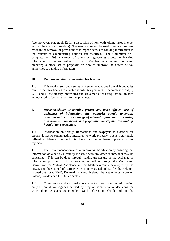(see, however, paragraph 12 for a discussion of how withholding taxes interact with exchange of information). The new Forum will be used to review progress made in the removal of provisions that impede access to banking information in the context of counteracting harmful tax practices. The Committee will complete in 1998 a survey of provisions governing access to banking information by tax authorities in force in Member countries and has begun preparing a broad set of proposals on how to improve the access of tax authorities to banking information.

## **III. Recommendations concerning tax treaties**

113. This section sets out a series of Recommendations by which countries can use their tax treaties to counter harmful tax practices. Recommendations, 8, 9, 10 and 11 are closely interrelated and are aimed at ensuring that tax treaties are not used to facilitate harmful tax practices.

*8. Recommendation concerning greater and more efficient use of exchanges of information: that countries should undertake programs to intensify exchange of relevant information concerning transactions in tax havens and preferential tax regimes constituting harmful tax competition.*

114. Information on foreign transactions and taxpayers is essential for certain domestic counteracting measures to work properly, but is notoriously difficult to obtain with respect to tax havens and certain harmful preferential tax regimes.

115. The Recommendation aims at improving the situation by ensuring that information obtained by a country is shared with any other country that may be concerned. This can be done through making greater use of the exchange of information provided for in tax treaties, as well as through the Multilateral Convention for Mutual Assistance in Tax Matters recently developed by the OECD and the Council of Europe which is now signed and ratified by Belgium (signed but not ratified), Denmark, Finland, Iceland, the Netherlands, Norway, Poland, Sweden and the United States.

116. Countries should also make available to other countries information on preferential tax regimes defined by way of administrative decisions for which their taxpayers are eligible. Such information should indicate the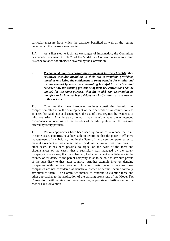particular measure from which the taxpayer benefited as well as the regime under which the measure was granted.

117. As a first step to facilitate exchanges of information, the Committee has decided to amend Article 26 of the Model Tax Convention so as to extend its scope to taxes not otherwise covered by the Convention.

*9 . Recommendation concerning the entitlement to treaty benefits: that countries consider including in their tax conventions provisions aimed at restricting the entitlement to treaty benefits for entities and income covered by measures constituting harmful tax practices and consider how the existing provisions of their tax conventions can be applied for the same purpose; that the Model Tax Convention be modified to include such provisions or clarifications as are needed in that respect.*

118. Countries that have introduced regimes constituting harmful tax competition often view the development of their network of tax conventions as an asset that facilitates and encourages the use of these regimes by residents of third countries. A wide treaty network may therefore have the unintended consequence of opening up the benefits of harmful preferential tax regimes offered by treaty partners.

119. Various approaches have been used by countries to reduce that risk. In some cases, countries have been able to determine that the place of effective management of a subsidiary lies in the State of the parent company so as to make it a resident of that country either for domestic law or treaty purposes. In other cases, it has been possible to argue, on the basis of the facts and circumstances of the cases, that a subsidiary was managed by the parent company in such a way that the subsidiary had a permanent establishment in the country of residence of the parent company so as to be able to attribute profits of the subsidiary to that latter country. Another example involves denying companies with no real economic function treaty benefits because these companies are not considered as beneficial owner of certain income formally attributed to them. The Committee intends to continue to examine these and other approaches to the application of the existing provisions of the Model Tax Convention, with a view to recommending appropriate clarification to the Model Tax Convention.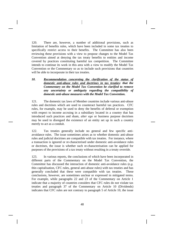120. There are, however, a number of additional provisions, such as limitation of benefits rules, which have been included in some tax treaties to specifically restrict access to their benefits. The Committee has also been reviewing these provisions with a view to propose changes to the Model Tax Convention aimed at denying the tax treaty benefits to entities and income covered by practices constituting harmful tax competition. The Committee intends to continue its work in this area with a view to modify the Model Tax Convention or the Commentary so as to include such provisions that countries will be able to incorporate in their tax treaties.

*10. Recommendation concerning the clarification of the status of domestic anti-abuse rules and doctrines in tax treaties: that the Commentary on the Model Tax Convention be clarified to remove any uncertainty or ambiguity regarding the compatibility of domestic anti-abuse measures with the Model Tax Convention.*

121. The domestic tax laws of Member countries include various anti-abuse rules and doctrines which are used to counteract harmful tax practices. CFC rules, for example, may be used to deny the benefits of deferral or exemption with respect to income accruing in a subsidiary located in a country that has introduced such practices and sham, *alter ego* or business purpose doctrines may be used to disregard the existence of an entity set up in such a country merely to act as a conduit.

122. Tax treaties generally include no general and few specific antiavoidance rules. The issue sometimes arises as to whether domestic anti-abuse rules and judicial doctrines are compatible with tax treaties. For instance, where a transaction is ignored or re-characterised under domestic anti-avoidance rules or doctrines, the issue is whether such re-characterisation can be applied for purposes of the provisions of a tax treaty without resulting in a treaty override.

123. In various reports, the conclusions of which have been incorporated in different parts of the Commentary on the Model Tax Convention, the Committee has discussed the interaction of domestic anti-avoidance rules (*e.g.* thin capitalisation, CFC rules, general anti-abuse rules) with tax treaties and has generally concluded that these were compatible with tax treaties. These conclusions, however, are sometimes unclear or expressed in mitigated terms. For example, while paragraphs 22 and 23 of the Commentary on Article 1 indicate that a majority of countries considers that CFC rules do not violate tax treaties and paragraph 37 of the Commentary on Article 10 (Dividends) indicates that CFC rules are not contrary to paragraph 5 of Article 10, the issue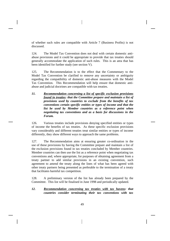of whether such rules are compatible with Article 7 (Business Profits) is not discussed.

124. The Model Tax Convention does not deal with certain domestic antiabuse provisions and it could be appropriate to provide that tax treaties should generally accommodate the application of such rules. This is an area that has been identified for further study (see section V).

125. The Recommendation is to the effect that the Commentary to the Model Tax Convention be clarified to remove any uncertainty or ambiguity regarding the compatibility of domestic anti-abuse measures with the Model Tax Convention. This Recommendation will help ensure that domestic antiabuse and judicial doctrines are compatible with tax treaties.

*11. Recommendation concerning a list of specific exclusion provisions found in treaties: that the Committee prepare and maintain a list of provisions used by countries to exclude from the benefits of tax conventions certain specific entities or types of income and that the list be used by Member countries as a reference point when negotiating tax conventions and as a basis for discussions in the Forum.*

126. Various treaties include provisions denying specified entities or types of income the benefits of tax treaties. As these specific exclusion provisions vary considerably and different treaties treat similar entities or types of income differently, they show different ways to approach the same problems.

127. The Recommendation aims at ensuring greater co-ordination in the use of these provisions by having the Committee prepare and maintain a list of the exclusion provisions found in tax treaties concluded by Member countries. Member countries can then use the list as a reference point when negotiating tax conventions and, where appropriate, for purposes of obtaining agreement from a treaty partner to add similar provisions in an existing convention, such agreement to amend the treaty along the lines of what has been agreed with other treaty partners being presented as preferable to the termination of a treaty that facilitates harmful tax competition.

128. A preliminary version of the list has already been prepared by the Committee. This list will be finalised in June 1998 and periodically updated.

## *12. Recommendation concerning tax treaties with tax havens: that countries consider terminating their tax conventions with tax*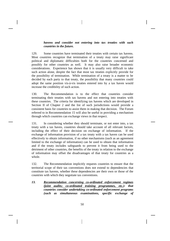## *havens and consider not entering into tax treaties with such countries in the future.*

129. Some countries have terminated their treaties with certain tax havens. Most countries recognize that termination of a treaty may raise significant political and diplomatic difficulties both for the countries concerned and possibly for other countries as well. It may also raise broader economic considerations. Experience has shown that it is usually very difficult to take such action alone, despite the fact that most tax treaties explicitly provide for the possibility of termination. While termination of a treaty is a matter to be decided by each party to that treaty, the possibility that many countries could adopt the same position vis-à-vis treaties entered into by a tax haven would increase the credibility of such action.

130. The Recommendation is to the effect that countries consider terminating their treaties with tax havens and not entering into treaties with these countries. The criteria for identifying tax havens which are developed in Section II of Chapter 2 and the list of such jurisdictions would provide a consistent basis for countries to assist them in making that decision. The Forum referred to in Recommendation 15 will also be useful in providing a mechanism through which countries can exchange views in that respect.

131. In considering whether they should terminate, or not enter into, a tax treaty with a tax haven, countries should take account of all relevant factors, including the effect of their decision on exchange of information. If the exchange of information provision of a tax treaty with a tax haven can be used effectively to obtain information, if no other mechanisms (such as an agreement limited to the exchange of information) can be used to obtain that information and if the treaty includes safeguards to prevent it from being used to the detriment of other countries, the benefits of the treaty in relation to the exchange of information may offset the disadvantages of that treaty for countries as a whole.

132. The Recommendation implicitly requests countries to ensure that the territorial scope of their tax conventions does not extend to dependencies that constitute tax havens, whether these dependencies are their own or those of the countries with which they negotiate tax conventions.

*13. Recommendation concerning co-ordinated enforcement regimes (joint audits; co-ordinated training programmes, etc.): that countries consider undertaking co-ordinated enforcement programs (such as simultaneous examinations, specific exchange of*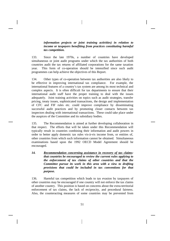### *information projects or joint training activities) in relation to income or taxpayers benefiting from practices constituting harmful tax competition.*

133. Since the late 1970s, a number of countries have developed simultaneous or joint audit programs under which the tax authorities of both countries audit the tax returns of affiliated corporations for the same taxation year. This form of co-operation should be intensified since such audit programmes can help achieve the objectives of this Report.

134. Other types of co-operation between tax authorities are also likely to be effective in improving international tax compliance. For example, the international features of a country's tax system are among its most technical and complex aspects. It is often difficult for tax departments to ensure that their international audit staff have the proper training to deal with the issues adequately. Joint training activities on topics such as audit strategies, transfer pricing, treaty issues, sophisticated transactions, the design and implementation of CFC and FIF rules etc. could improve compliance by disseminating successful audit practices and by promoting closer contacts between tax inspectors dealing with international transactions. These could take place under the auspices of the Committee and its subsidiary bodies.

135. The Recommendation is aimed at further developing collaboration in that respect. The efforts that will be taken under this Recommendation will typically result in countries combining their information and audit powers in order to better apply domestic tax rules vis-à-vis income from, or entities of, other countries from which such information cannot be obtained. Simultaneous examinations based upon the 1992 OECD Model Agreement should be encouraged.

*14. Recommendation concerning assistance in recovery of tax claims: that countries be encouraged to review the current rules applying to the enforcement of tax claims of other countries and that the Committee pursue its work in this area with a view to drafting provisions that could be included in tax conventions for that purpose.*

136. Harmful tax competition which leads to tax evasion by taxpayers of other countries may be encouraged if one country will not enforce the tax claims of another country. This position is based on concerns about the extra-territorial enforcement of tax claims, the lack of reciprocity, and procedural fairness. Also, the counteracting measures of some countries may be prevented from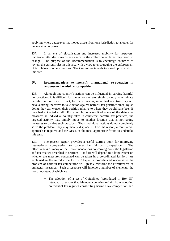applying where a taxpayer has moved assets from one jurisdiction to another for tax evasion purposes.

137. In an era of globalisation and increased mobility for taxpayers, traditional attitudes towards assistance in the collection of taxes may need to change. The purpose of the Recommendation is to encourage countries to review the current rules in this area with a view to encouraging the enforcement of tax claims of other countries. The Committee intends to speed up its work in this area.

## **IV. Recommendations to intensify international co-operation in response to harmful tax competition**

138. Although one country's actions can be influential in curbing harmful tax practices, it is difficult for the actions of any single country to eliminate harmful tax practices. In fact, for many reasons, individual countries may not have a strong incentive to take action against harmful tax practices since, by so doing, they can worsen their position relative to where they would have been if they had not acted at all. For example, as a result of some of the defensive measures an individual country takes to counteract harmful tax practices, the targeted activity may simply move to another location that is not taking measures to combat such practices. Thus, individual actions do not completely solve the problem; they may merely displace it. For this reason, a multilateral approach is required and the OECD is the most appropriate forum to undertake this task.

139. The present Report provides a useful starting point for improving international co-operation to counter harmful tax competition. The effectiveness of many of the Recommendations concerning domestic legislation and tax treaties described in sections II and III will depend to a large extent on whether the measures concerned can be taken in a co-ordinated fashion. As explained in the introduction to this Chapter, a co-ordinated response to the problem of harmful tax competition will greatly reinforce the effectiveness of unilateral measures. Such a response will involve a number of elements, the most important of which are:

> − The adoption of a set of Guidelines (reproduced in Box III) intended to ensure that Member countries refrain from adopting preferential tax regimes constituting harmful tax competition and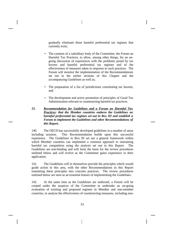gradually eliminate those harmful preferential tax regimes that currently exist;

- − The creation of a subsidiary body of the Committee, the Forum on Harmful Tax Practices, to allow, among other things, for an ongoing discussion of experiences with the problems posed by tax havens and harmful preferential tax regimes and of the effectiveness of measures taken in response to such practices. The Forum will monitor the implementation of the Recommendations set out in the earlier sections of this Chapter and the accompanying Guidelines as well as;
- − The preparation of a list of jurisdictions constituting tax havens; and
- − The development and active promotion of principles of Good Tax Administration relevant to counteracting harmful tax practices.

## *15. Recommendation for Guidelines and a Forum on Harmful Tax Practices: that the Member countries endorse the Guidelines on harmful preferential tax regimes set out in Box III and establish a Forum to implement the Guidelines and other Recommendations of this Report.*

140. The OECD has successfully developed guidelines in a number of areas including taxation. This Recommendation builds upon this successful experience. The Guidelines in Box III set out a general framework within which Member countries can implement a common approach to restraining harmful tax competition using the analysis set out in this Report. The Guidelines are non-binding and will form the basis for the review procedures outlined below and will evolve as the Committee gains experience in their application.

141. The Guidelines will in themselves provide the principles which would guide action in this area, with the other Recommendations in this Report translating these principles into concrete practices. The review procedures outlined below are seen as an essential feature of implementing the Guidelines.

142. At the same time as the Guidelines are endorsed, a Forum will be created under the auspices of the Committee to undertake an on-going evaluation of existing and proposed regimes in Member and non-member countries, to analyse the effectiveness of counteracting measures, including non-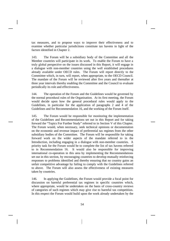tax measures, and to propose ways to improve their effectiveness and to examine whether particular jurisdictions constitute tax havens in light of the factors identified in Chapter 2.

143. The Forum will be a subsidiary body of the Committee and all the Member countries will participate in its work. To enable the Forum to have a truly global perspective on the issues discussed in this Report, it will engage in a dialogue with non-member countries using the well established procedures already available under OECD rules. The Forum will report directly to the Committee which, in turn, will report, when appropriate, to the OECD Council. The mandate of the Forum will be reviewed after five years and thereafter at three year intervals thereby enabling the Committee and the Council to evaluate periodically its role and effectiveness.

144. The operation of the Forum and the Guidelines would be governed by the normal procedural rules of the Organisation. At its first meeting, the Forum would decide upon how the general procedural rules would apply to the Guidelines, in particular for the application of paragraphs 2 and 4 of the Guidelines and for Recommendation 16, and the working of the Forum itself.

145. The Forum would be responsible for monitoring the implementation of the Guidelines and Recommendations set out in this Report and for taking forward the "Topics For Further Study" referred to in Section V of this Chapter. The Forum would, when necessary, seek technical opinions or documentation on the economic and revenue impact of preferential tax regimes from the other subsidiary bodies of the Committee. The Forum will be responsible for taking forward work on the wider aspects of the mandate referred to in the Introduction, including engaging in a dialogue with non-member countries. A priority task for the Forum would be to complete the list of tax havens referred to in Recommendation 16. It would also be responsible for improving international co-operation in this area by implementing the Recommendations set out in this section, by encouraging countries to develop mutually reinforcing responses to problems identified and thereby ensuring that no country gains an unfair competitive advantage by failing to comply with the Guidelines referred to above. The Forum will also assess the effectiveness of existing measures taken by countries.

146. In applying the Guidelines, the Forum would provide a focal point for discussion on harmful preferential tax regimes in specific countries which, where appropriate, would be undertaken on the basis of cross-country reviews of categories of such regimes which may give rise to harmful tax competition. In this respect the Forum would build upon the work already undertaken by the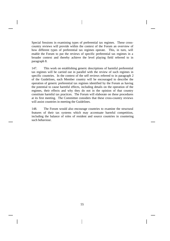Special Sessions in examining types of preferential tax regimes. These crosscountry reviews will provide within the context of the Forum an overview of how different types of preferential tax regimes operate. This, in turn, will enable the Forum to put the reviews of specific preferential tax regimes in a broader context and thereby achieve the level playing field referred to in paragraph 8.

147. This work on establishing generic descriptions of harmful preferential tax regimes will be carried out in parallel with the review of such regimes in specific countries. In the context of the self reviews referred to in paragraph 2 of the Guidelines, each Member country will be encouraged to describe the operation of generic preferential tax regimes identified by the Forum as having the potential to cause harmful effects, including details on the operation of the regimes, their effects and why they do not in the opinion of that country constitute harmful tax practices. The Forum will elaborate on these procedures at its first meeting. The Committee considers that these cross-country reviews will assist countries in meeting the Guidelines.

148. The Forum would also encourage countries to examine the structural features of their tax systems which may accentuate harmful competition, including the balance of roles of resident and source countries in countering such behaviour.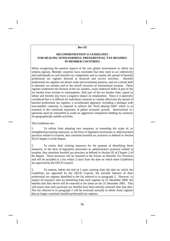#### *Box III*

#### **RECOMMENDATION 15 GUIDELINES FOR DEALING WITH HARMFUL PREFERENTIAL TAX REGIMES IN MEMBER COUNTRIES**

While recognising the positive aspects of the new global environment in which tax systems operate, Member countries have concluded that they need to act collectively and individually to curb harmful tax competition and to counter the spread of harmful preferential tax regimes directed at financial and service activities. Harmful preferential tax regimes can distort trade and investment patterns, and are a threat both to domestic tax systems and to the overall structure of international taxation. These regimes undermine the fairness of the tax systems, cause undesired shifts of part of the tax burden from income to consumption, shift part of the tax burden from capital to labour and thereby may have a negative impact on employment. Since it is generally considered that it is difficult for individual countries to combat effectively the spread of harmful preferential tax regimes, a co-ordinated approach, including a dialogue with non-member countries, is required to achieve the "level playing field" which is so essential to the continued expansion of global economic growth. International cooperation must be intensified to avoid an aggressive competitive bidding by countries for geographically mobile activities.

The Guidelines are:

1. To refrain from adopting new measures, or extending the scope of, or strengthening existing measures, in the form of legislative provisions or administrative practices related to taxation, that constitute harmful tax practices as defined in Section III of Chapter 2 of the Report.

2. To review their existing measures for the purpose of identifying those measures, in the form of legislative provisions or administrative practices related to taxation, that constitute harmful tax practices as defined in Section III of Chapter 2 of the Report. These measures will be reported to the Forum on Harmful Tax Practices and will be included in a list within 2 years from the date on which these Guidelines are approved by the OECD Council.

3. To remove, before the end of 5 years starting from the date on which the Guidelines are approved by the OECD Council, the harmful features of their preferential tax regimes identified in the list referred to in paragraph 2. However, in respect of taxpayers who are benefiting from such regimes on 31 December 2000, the benefits that they derive will be removed at the latest on the 31 December 2005. This will ensure that such particular tax benefits have been entirely removed after that date. The list referred to in paragraph 2 will be reviewed annually to delete those regimes that no longer constitute harmful preferential tax regimes.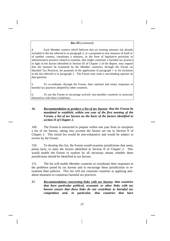## *Box III* (continued)

4. Each Member country which believes that an existing measure not already included in the list referred to in paragraph 2, or a proposed or new measure of itself or of another country, constitutes a measure, in the form of legislative provision or administrative practice related to taxation, that might constitute a harmful tax practice in light of the factors identified in Section III of Chapter 2 of the Report, may request that the measure be examined by the Member countries, through the Forum on Harmful Tax Practices, for purposes of the application of paragraph 1 or for inclusion in the list referred to in paragraph 2. The Forum may issue a non-binding opinion on that question.

5. To co-ordinate, through the Forum, their national and treaty responses to harmful tax practices adopted by other countries.

6. To use the Forum to encourage actively non-member countries to associate themselves with these Guidelines.

## *16. Recommendation to produce a list of tax havens: that the Forum be mandated to establish, within one year of the first meeting of the Forum, a list of tax havens on the basis of the factors identified in section II of Chapter 2.*

149. The Forum is instructed to prepare within one year from its inception a list of tax havens, taking into account the factors set out in Section II of Chapter 2. This initial list would be non-exhaustive and would be subject to review by the Forum.

150. To develop this list, the Forum would examine jurisdictions that seem, prima facie, to meet the factors identified in Section II of Chapter 2. This would enable the Forum to explore by all necessary means whether these jurisdictions should be identified as tax havens.

151. The list will enable Member countries to coordinate their responses to the problems posed by tax havens and to encourage these jurisdictions to reexamine their policies. This list will not constrain countries in applying antiabuse measures to counteract harmful tax practices.

*17. Recommendation concerning links with tax havens: that countries that have particular political, economic or other links with tax havens ensure that these links do not contribute to harmful tax competition and, in particular, that countries that have*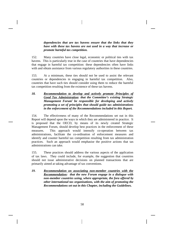## *dependencies that are tax havens ensure that the links that they have with these tax havens are not used in a way that increase or promote harmful tax competition.*

152. Many countries have close legal, economic or political ties with tax havens. This is particularly true in the case of countries that have dependencies that engage in harmful tax competition: these dependencies often have links with and obtain assistance from various regulatory authorities in these countries.

153. At a minimum, these ties should not be used to assist the relevant countries or dependencies in engaging in harmful tax competition. Also, countries that have such ties should consider using them to reduce the harmful tax competition resulting from the existence of these tax havens.

*18. Recommendation to develop and actively promote Principles of Good Tax Administration: that the Committee's existing Strategic Management Forum6 be responsible for developing and actively promoting a set of principles that should guide tax administrations in the enforcement of the Recommendations included in this Report.*

154. The effectiveness of many of the Recommendations set out in this Report will depend upon the ways in which they are administered in practice. It is proposed that the OECD, by means of its newly created Strategic Management Forum, should develop best practices in the enforcement of these measures. This approach would intensify co-operation between tax administrations, facilitate the co-ordination of enforcement measures and identify and counter harmful tax competition resulting from tax administration practices. Such an approach would emphasise the positive actions that tax administrations can take.

155. These practices should address the various aspects of the application of tax laws. They could include, for example, the suggestion that countries should not issue administrative decisions on planned transactions that are primarily aimed at taking advantage of tax conventions.

*19. Recommendation on associating non-member countries with the Recommendation: that the new Forum engage in a dialogue with non-member countries using, where appropriate, the fora offered by other international tax organisations, with the aim of promoting the Recommendations set out in this Chapter, including the Guidelines.*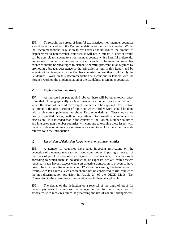156. To restrain the spread of harmful tax practices, non-member countries should be associated with the Recommendations set out in this Chapter. Whilst the Recommendations in relation to tax havens should reduce the amount of displacement to non-member countries, it will not eliminate it since it would still be possible to relocate to a non-member country with a harmful preferential tax regime. In order to minimise the scope for such displacement, non-member countries should be encouraged to dismantle harmful preferential tax regimes by promoting a broader acceptance of the principles set out in this Report and by engaging in a dialogue with the Member countries on how they could apply the Guidelines. Work on this Recommendation will continue in tandem with the Forum's work on the implementation of the Guidelines in Member countries.

## **V. Topics for further study**

157. As indicated in paragraph 6 above, there will be other topics, apart from that of geographically mobile financial and other service activities in which the issues of harmful tax competition needs to be explored. This section is limited to the identification of topics on which further work should be done with a view to supplement the above Recommendations. These topics are briefly presented below, without any attempt to provide a comprehensive discussion. It is intended that in the context of the Forum, Member countries and interested non-member countries will continue to examine these issues with the aim of developing new Recommendations and to explore the wider mandate referred to in the Introduction.

## *a) Restriction of deduction for payments to tax haven entities*

158. A number of countries have rules imposing restrictions on the deduction of payments made to tax haven countries or imposing a reversal of the onus of proof in case of such payments. For instance, Spain has rules according to which there is no deduction of expenses derived from services rendered in tax havens except where an effective transaction is proven to have taken place. Given Recommendation 12 above concerning the termination of treaties with tax havens, such action should not be considered to run counter to the non-discrimination provision in Article 24 of the OECD Model Tax Convention to the extent that no convention would then be applicable

159. The denial of the deduction or a reversal of the onus of proof for certain payments to countries that engage in harmful tax competition, if associated with measures aimed at preventing the use of conduit arrangements,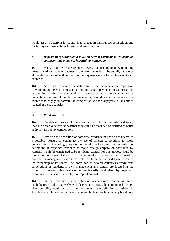would act as a deterrent for countries to engage in harmful tax competition and for taxpayers to use entities located in these countries.

# *b) Imposition of withholding taxes on certain payments to residents of countries that engage in harmful tax competition*

160. Many countries currently have legislation that imposes withholding taxes on various types of payments to non-residents but substantially reduce or eliminate the rate of withholding tax on payments made to residents of treaty countries.

161. As with the denial of deduction for certain payments, the imposition of withholding taxes at a substantial rate on certain payments to countries that engage in harmful tax competition, if associated with measures aimed at preventing the use of conduit arrangements, would act as a deterrent for countries to engage in harmful tax competition and for taxpayers to use entities located in these countries.

# *c) Residence rules*

162. Residence rules should be examined at both the domestic and treaty levels in order to determine whether they could be amended or clarified to better address harmful tax competition.

163. Revising the definition of corporate residence might be considered as a possible measure to counteract the use of foreign corporations to avoid domestic tax. Accordingly, one option would be to extend the domestic tax definitions of corporate residence so that a foreign corporation controlled by residents would be considered to be resident. Control for this purpose could be limited to the control of the affairs of a corporation as exercised by its board of directors or management or, alternatively, could be determined by reference to the ownership of its shares. As noted earlier, several countries already treat corporations as residents if their management and control are located in the country. However, this concept of control is easily manipulated by taxpayers, in contrast to the share ownership concept of control.

164. On the treaty side, the definition of "resident of a Contracting State" could be restricted to expressly exclude certain entities subject to no or little tax. One possibility would be to narrow the scope of the definition of resident in Article 4 to exclude other taxpayers who are liable to tax in a country but do not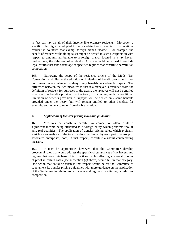in fact pay tax on all of their income like ordinary residents. Moreover, a specific rule might be adopted to deny certain treaty benefits to corporations resident in countries that exempt foreign branch income. For example, the benefit of reduced withholding taxes might be denied to such a corporation with respect to amounts attributable to a foreign branch located in a tax haven. Furthermore, the definition of resident in Article 4 could be revised to exclude legal entities that take advantage of specified regimes that constitute harmful tax competition.

165. Narrowing the scope of the residence article of the Model Tax Convention is similar to the adoption of limitation of benefit provision in that both measures are intended to deny treaty benefits to certain taxpayers. The difference between the two measures is that if a taxpayer is excluded from the definition of resident for purposes of the treaty, the taxpayer will not be entitled to any of the benefits provided by the treaty. In contrast, under a traditional limitation of benefits provision, a taxpayer will be denied only some benefits provided under the treaty, but will remain entitled to other benefits, for example, entitlement to relief from double taxation.

# *d) Application of transfer pricing rules and guidelines*

166. Measures that constitute harmful tax competition often result in significant income being attributed to a foreign entity which performs few, if any, real activities. The application of transfer pricing rules, which typically start from an analysis of the true functions performed by each part of a group of associated enterprises, does, in that respect, constitute a useful counteracting measure.

167. It may be appropriate, however, that the Committee develop procedural rules that would address the specific circumstances of tax havens and regimes that constitute harmful tax practices. Rules effecting a reversal of onus of proof in certain cases (see subsection *(a)* above) would fall in that category. One action that could be taken in that respect would be for the Committee to supplement its transfer pricing guidelines with more guidance on the application of the Guidelines in relation to tax havens and regimes constituting harmful tax competition.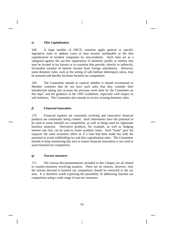## *e) Thin Capitalisation*

168. A large number of OECD countries apply general or specific legislative rules to address cases of base erosion attributable to the thin capitalisation of resident companies by non-residents. Such rules act as a safeguard against the tax-free repatriation of domestic profits to entities that may be located in tax havens or in countries that provide, directly or indirectly, favourable taxation of interest income from foreign subsidiaries. However, some domestic rules, such as the setting of safe harbour debt/equity ratios, may be misused and thereby facilitate harmful tax competition.

169. The Committee intends to explore whether it should recommend to Member countries that do not have such rules that they consider their introduction taking into account the previous work done by the Committee on this topic<sup>7</sup> and the guidance in the 1995 Guidelines, especially with respect to safe harbours. The Committee also intends to review existing domestic rules.

# *f) Financial innovation*

170. Financial markets are constantly evolving and innovative financial products are continually being created. Such instruments have the potential to be used to assist harmful tax competition, as well as being used for legitimate business purposes. Derivative products, for example, as well as hedging interest rate risk, can be used to create synthetic loans. Such "loans" give the taxpayer the same economic effect as if a loan had been made but with the potential to avoid withholding tax and thin capitalisation rules. The Committee intends to keep monitoring this area to ensure financial innovation is not used to assist harmful tax competition.

## *g) Non-tax measures*

171. The various Recommendations included in this Chapter are all related to counter-measures involving taxation. There are no reasons, however, why the actions directed at harmful tax competition should be restricted to the tax area. It is therefore worth exploring the possibility of addressing harmful tax competition using a wide range of non-tax measures.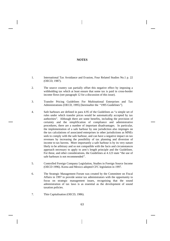#### **NOTES**

- 1. International Tax Avoidance and Evasion, Four Related Studies No.1 p. 22 (OECD, 1987).
- 2. The source country can partially offset this negative effect by imposing a withholding tax which at least ensure that some tax is paid in cross-border income flows (see paragraph 12 for a discussion of this issue).
- 3. Transfer Pricing Guidelines For Multinational Enterprises and Tax Administrations (OECD, 1995) [hereinafter the "1995 Guidelines"].
- 4. Safe harbours are defined in para 4.95 of the Guidelines as "a simple set of rules under which transfer prices would be automatically accepted by tax authorities". Although there are some benefits, including the provision of certainty and the simplification of compliance and administrative procedures, there are a number of important disadvantages. In particular, the implementation of a safe harbour by one jurisdiction also impinges on the tax calculations of associated enterprises in other jurisdictions as MNEs seek to comply with the safe harbour, and can have a negative impact on tax revenues by increasing the possibility of tax planning and diversion of income to tax havens. More importantly a safe harbour is by its very nature likely to be arbitrary and so not compatible with the facts and circumstances approach necessary to apply to arm's length principle and the Guidelines. For these, and other considerations, the Guidelines at 4.123 state "the use of safe harbours is not recommended".
- 5. Controlled Foreign Company Legislation, Studies in Foreign Source Income (OECD 1996). Korea and Mexico adopted CFC legislation in 1997.
- 6. The Strategic Management Forum was created by the Committee on Fiscal Affairs in 1997 to provide senior tax administrators with the opportunity to focus on strategic management issues, recognising that the sound administration of tax laws is as essential as the development of sound taxation policies.
- 7. Thin Capitalisation (OECD, 1986).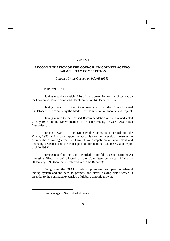## **ANNEX I**

## **RECOMMENDATION OF THE COUNCIL ON COUNTERACTING HARMFUL TAX COMPETITION**

*(Adopted by the Council on 9 April 1998)\**

THE COUNCIL,

Having regard to Article 5 b) of the Convention on the Organisation for Economic Co-operation and Development of 14 December 1960;

Having regard to the Recommendation of the Council dated 23 October 1997 concerning the Model Tax Convention on Income and Capital;

Having regard to the Revised Recommendation of the Council dated 24 July 1997 on the Determination of Transfer Pricing between Associated Enterprises;

Having regard to the Ministerial Communiqué issued on the 22 May 1996 which calls upon the Organisation to "develop measures to counter the distorting effects of harmful tax competition on investment and financing decisions and the consequences for national tax bases, and report back in 1998";

Having regard to the Report entitled "Harmful Tax Competition: An Emerging Global Issue" adopted by the Committee on Fiscal Affairs on 20 January 1998 (hereinafter referred to as "the Report");

Recognising the OECD's role in promoting an open, multilateral trading system and the need to promote the "level playing field" which is essential to the continued expansion of global economic growth;

\*

Luxembourg and Switzerland abstained.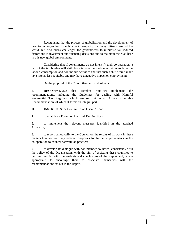Recognising that the process of globalisation and the development of new technologies has brought about prosperity for many citizens around the world, but also raises challenges for governments to minimise tax induced distortions in investment and financing decisions and to maintain their tax base in this new global environment;

Considering that if governments do not intensify their co-operation, a part of the tax burden will shift from income on mobile activities to taxes on labour, consumption and non mobile activities and that such a shift would make tax systems less equitable and may have a negative impact on employment;

On the proposal of the Committee on Fiscal Affairs:

**I. RECOMMENDS** that Member countries implement the recommendations, including the Guidelines for dealing with Harmful Preferential Tax Regimes, which are set out in an Appendix to this Recommendation, of which it forms an integral part.

**II. INSTRUCTS** the Committee on Fiscal Affairs:

1. to establish a Forum on Harmful Tax Practices;

2. to implement the relevant measures identified in the attached Appendix;

3. to report periodically to the Council on the results of its work in these matters together with any relevant proposals for further improvements in the co-operation to counter harmful tax practices;

4. to develop its dialogue with non-member countries, consistently with the policy of the Organisation, with the aim of assisting these countries to become familiar with the analysis and conclusions of the Report and, where appropriate, to encourage them to associate themselves with the recommendations set out in the Report.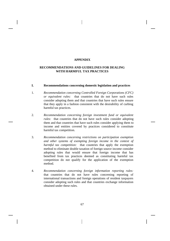#### **APPENDIX**

# **RECOMMENDATIONS AND GUIDELINES FOR DEALING WITH HARMFUL TAX PRACTICES**

#### **I. Recommendations concerning domestic legislation and practices**

- 1. *Recommendation concerning Controlled Foreign Corporations (CFC) or equivalent rules:* that countries that do not have such rules consider adopting them and that countries that have such rules ensure that they apply in a fashion consistent with the desirability of curbing harmful tax practices.
- 2. *Recommendation concerning foreign investment fund or equivalent rules:* that countries that do not have such rules consider adopting them and that countries that have such rules consider applying them to income and entities covered by practices considered to constitute harmful tax competition.
- 3. *Recommendation concerning restrictions on participation exemption and other systems of exempting foreign income in the context of harmful tax competition:* that countries that apply the exemption method to eliminate double taxation of foreign source income consider adopting rules that would ensure that foreign income that has benefited from tax practices deemed as constituting harmful tax competition do not qualify for the application of the exemption method.
- 4. *Recommendation concerning foreign information reporting rules:* that countries that do not have rules concerning reporting of international transactions and foreign operations of resident taxpayers consider adopting such rules and that countries exchange information obtained under these rules.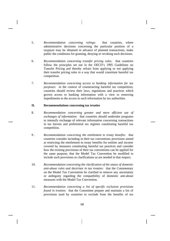- 5. *Recommendation concerning rulings:* that countries, where administrative decisions concerning the particular position of a taxpayer may be obtained in advance of planned transactions, make public the conditions for granting, denying or revoking such decisions.
- 6. *Recommendation concerning transfer pricing rules:* that countries follow the principles set out in the OECD's 1995 Guidelines on Transfer Pricing and thereby refrain from applying or not applying their transfer pricing rules in a way that would constitute harmful tax competition.
- 7. *Recommendation concerning access to banking information for tax purposes:* in the context of counteracting harmful tax competition, countries should review their laws, regulations and practices which govern access to banking information with a view to removing impediments to the access to such information by tax authorities.

## **II. Recommendations concerning tax treaties**

- 8. *Recommendation concerning greater and more efficient use of exchanges of information:* that countries should undertake programs to intensify exchange of relevant information concerning transactions in tax havens and preferential tax regimes constituting harmful tax competition.
- 9 . *Recommendation concerning the entitlement to treaty benefits:* that countries consider including in their tax conventions provisions aimed at restricting the entitlement to treaty benefits for entities and income covered by measures constituting harmful tax practices and consider how the existing provisions of their tax conventions can be applied for the same purpose; that the Model Tax Convention be modified to include such provisions or clarifications as are needed in that respect.
- 10. *Recommendation concerning the clarification of the status of domestic anti-abuse rules and doctrines in tax treaties:* that the Commentary on the Model Tax Convention be clarified to remove any uncertainty or ambiguity regarding the compatibility of domestic anti-abuse measures with the Model Tax Convention.
- 11. *Recommendation concerning a list of specific exclusion provisions found in treaties:* that the Committee prepare and maintain a list of provisions used by countries to exclude from the benefits of tax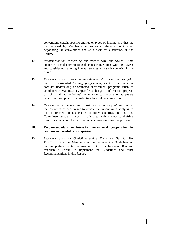conventions certain specific entities or types of income and that the list be used by Member countries as a reference point when negotiating tax conventions and as a basis for discussions in the Forum.

- 12. *Recommendation concerning tax treaties with tax havens:* that countries consider terminating their tax conventions with tax havens and consider not entering into tax treaties with such countries in the future.
- 13. *Recommendation concerning co-ordinated enforcement regimes (joint audits; co-ordinated training programmes, etc.):* that countries consider undertaking co-ordinated enforcement programs (such as simultaneous examinations, specific exchange of information projects or joint training activities) in relation to income or taxpayers benefiting from practices constituting harmful tax competition.
- 14. *Recommendation concerning assistance in recovery of tax claims:* that countries be encouraged to review the current rules applying to the enforcement of tax claims of other countries and that the Committee pursue its work in this area with a view to drafting provisions that could be included in tax conventions for that purpose.

## **III. Recommendations to intensify international co-operation in response to harmful tax competition**

15. *Recommendation for Guidelines and a Forum on Harmful Tax Practices:* that the Member countries endorse the Guidelines on harmful preferential tax regimes set out in the following Box and establish a Forum to implement the Guidelines and other Recommendations in this Report.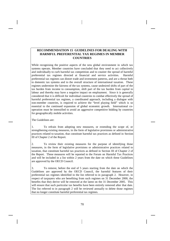# **RECOMMENDATION 15 GUIDELINES FOR DEALING WITH HARMFUL PREFERENTIAL TAX REGIMES IN MEMBER COUNTRIES**

While recognising the positive aspects of the new global environment in which tax systems operate, Member countries have concluded that they need to act collectively and individually to curb harmful tax competition and to counter the spread of harmful preferential tax regimes directed at financial and service activities. Harmful preferential tax regimes can distort trade and investment patterns, and are a threat both to domestic tax systems and to the overall structure of international taxation. These regimes undermine the fairness of the tax systems, cause undesired shifts of part of the tax burden from income to consumption, shift part of the tax burden from capital to labour and thereby may have a negative impact on employment. Since it is generally considered that it is difficult for individual countries to combat effectively the spread of harmful preferential tax regimes, a coordinated approach, including a dialogue with non-member countries, is required to achieve the "level playing field" which is so essential to the continued expansion of global economic growth. International cooperation must be intensified to avoid an aggressive competitive bidding by countries for geographically mobile activities.

The Guidelines are:

1. To refrain from adopting new measures, or extending the scope of, or strengthening existing measures, in the form of legislative provisions or administrative practices related to taxation, that constitute harmful tax practices as defined in Section III of Chapter 2 of the Report.

2. To review their existing measures for the purpose of identifying those measures, in the form of legislative provisions or administrative practices related to taxation, that constitute harmful tax practices as defined in Section III of Chapter 2 of the Report. These measures will be reported to the Forum on Harmful Tax Practices and will be included in a list within 2 years from the date on which these Guidelines are approved by the OECD Council.

3. To remove, before the end of 5 years starting from the date on which the Guidelines are approved by the OECD Council, the harmful features of their preferential tax regimes identified in the list referred to in paragraph 2. However, in respect of taxpayers who are benefiting from such regimes on 31 December 2000, the benefits that they derive will be removed at the latest on the 31 December 2005. This will ensure that such particular tax benefits have been entirely removed after that date. The list referred to in paragraph 2 will be reviewed annually to delete those regimes that no longer constitute harmful preferential tax regimes.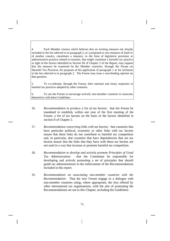4. Each Member country which believes that an existing measure not already included in the list referred to in paragraph 2, or a proposed or new measure of itself or of another country, constitutes a measure, in the form of legislative provision or administrative practice related to taxation, that might constitute a harmful tax practice in light of the factors identified in Section III of Chapter 2 of the Report, may request that the measure be examined by the Member countries, through the Forum on Harmful Tax Practices, for purposes of the application of paragraph 1 or for inclusion in the list referred to in paragraph 2. The Forum may issue a non-binding opinion on that question.

5. To co-ordinate, through the Forum, their national and treaty responses to harmful tax practices adopted by other countries.

6. To use the Forum to encourage actively non-member countries to associate themselves with these Guidelines.

- 16. *Recommendation to produce a list of tax havens:* that the Forum be mandated to establish, within one year of the first meeting of the Forum, a list of tax havens on the basis of the factors identified in section II of Chapter 2.
- 17. *Recommendation concerning links with tax havens:* that countries that have particular political, economic or other links with tax havens ensure that these links do not contribute to harmful tax competition and, in particular, that countries that have dependencies that are tax havens ensure that the links that they have with these tax havens are not used in a way that increase or promote harmful tax competition.
- 18. *Recommendation to develop and actively promote Principles of Good Tax Administration:* that the Committee be responsible for developing and actively promoting a set of principles that should guide tax administrations in the enforcement of the Recommendations included in this report.
- 19. *Recommendation on associating non-member countries with the Recommendation:* That the new Forum engage in a dialogue with non-member countries using, where appropriate, the fora offered by other international tax organisations, with the aim of promoting the Recommendations set out in this Chapter, including the Guidelines.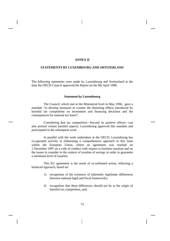### **ANNEX II**

#### **STATEMENTS BY LUXEMBOURG AND SWITZERLAND**

The following statements were made by Luxembourg and Switzerland at the time the OECD Council approved the Report on the 9th April 1998.

#### **Statement by Luxembourg**

The Council, which met at the Ministerial level in May 1996, gave a mandate "to develop measures to counter the distorting effects introduced by harmful tax competition on investment and financing decisions and the consequences for national tax bases".

Considering that tax competition—beyond its positive effects—can also present certain harmful aspects, Luxembourg approved this mandate and participated in the subsequent work.

In parallel with the work undertaken at the OECD, Luxembourg has co-operated actively in elaborating a comprehensive approach to this issue within the European Union, where an agreement was reached on 1 December 1997 on a code of conduct with respect to business taxation and on the issues to consider in the context of taxation of savings in order to guarantee a minimum level of taxation.

This EU agreement is the result of co-ordinated action, reflecting a balanced approach, based on:

- 1) recognition of the existence of inherently legitimate differences between national legal and fiscal frameworks;
- 2) recognition that these differences should not be at the origin of harmful tax competition, and;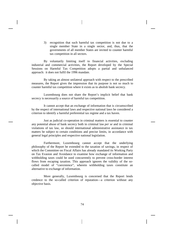3) recognition that such harmful tax competition is not due to a single member State in a single sector, and, thus, that the governments of all member States are invited to counter harmful tax competition in all sectors.

By voluntarily limiting itself to financial activities, excluding industrial and commercial activities, the Report developed by the Special Sessions on Harmful Tax Competition adopts a partial and unbalanced approach: it does not fulfil the 1996 mandate.

By taking an almost unilateral approach with respect to the prescribed measures, the Report gives the impression that its purpose is not so much to counter harmful tax competition where it exists as to abolish bank secrecy.

Luxembourg does not share the Report's implicit belief that bank secrecy is necessarily a source of harmful tax competition.

It cannot accept that an exchange of information that is circumscribed by the respect of international laws and respective national laws be considered a criterion to identify a harmful preferential tax regime and a tax haven.

Just as judicial co-operation in criminal matters is essential to counter any potential abuse of bank secrecy both in criminal law *per se* and in criminal violations of tax law, so should international administrative assistance in tax matters be subject to certain conditions and precise limits, in accordance with general legal principles and respective national legislation.

Furthermore, Luxembourg cannot accept that the underlying philosophy of the Report be extended to the taxation of savings, in respect of which the Committee on Fiscal Affairs has already mandated its Working Party on Tax Evasion and Avoidance to examine how exchange of information and withholding taxes could be used concurrently to prevent cross-border interest flows from escaping taxation. This approach ignores the validity of the socalled model of "coexistence", wherein withholding taxes constitute an alternative to exchange of information.

More generally, Luxembourg is concerned that the Report lends credence to the so-called criterion of reputation—a criterion without any objective basis.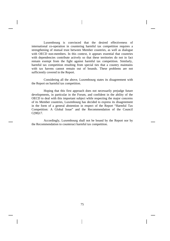Luxembourg is convinced that the desired effectiveness of international co-operation in countering harmful tax competition requires a strengthening of mutual trust between Member countries, as well as dialogue with OECD non-members. In this context, it appears essential that countries with dependencies contribute actively so that these territories do not in fact remain exempt from the fight against harmful tax competition. Similarly, harmful tax competition resulting from special ties that a country maintains with tax havens cannot remain out of bounds. These problems are not sufficiently covered in the Report.

Considering all the above, Luxembourg states its disagreement with the Report on harmful tax competition.

Hoping that this first approach does not necessarily prejudge future developments, in particular in the Forum, and confident in the ability of the OECD to deal with this important subject while respecting the major concerns of its Member countries, Luxembourg has decided to express its disagreement in the form of a general abstention in respect of the Report "Harmful Tax Competition: A Global Issue" and the Recommendation of the Council C(98)17.

Accordingly, Luxembourg shall not be bound by the Report nor by the Recommendation to counteract harmful tax competition.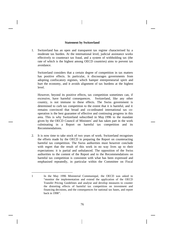## **Statement by Switzerland**

1. Switzerland has an open and transparent tax regime characterised by a moderate tax burden. At the international level, judicial assistance works effectively to counteract tax fraud, and a system of withholding tax (the rate of which is the highest among OECD countries) aims to prevent tax avoidance.

Switzerland considers that a certain degree of competition in tax matters has positive effects. In particular, it discourages governments from adopting confiscatory regimes, which hamper entrepreneurial spirit and hurt the economy, and it avoids alignment of tax burdens at the highest level.

However, beyond its positive effects, tax competition sometimes can, if excessive, have harmful consequences. Switzerland, like any other country, is not immune to these effects. The Swiss government is determined to curb tax competition to the extent that it is harmful, and it remains convinced that broad and co-ordinated international tax cooperation is the best guarantee of effective and continuing progress in this area. This is why Switzerland subscribed in May 1996 to the mandate given by the OECD Council of Ministers<sup>1</sup> and has taken part in the work culminating in a Report on harmful tax competition and its Recommendations.

2. It is now time to take stock of two years of work. Switzerland recognises the efforts made by the OECD in preparing the Report on counteracting harmful tax competition. The Swiss authorities must however conclude with regret that the result of this work in no way lives up to their expectations: it is partial and unbalanced. The opposition of the Swiss authorities to the content of the Report and to the Recommendations on harmful tax competition is consistent with what has been expressed and emphasised repeatedly, in particular within the Committee on Fiscal

<sup>-</sup>1 In the May 1996 Ministerial Communiqué, the OECD was asked to "monitor the implementation and extend the application of the OECD Transfer Pricing Guidelines and analyse and develop measures to counter the distorting effects of harmful tax competition on investment and financing decisions, and the consequences for national tax bases, and report back in 1998".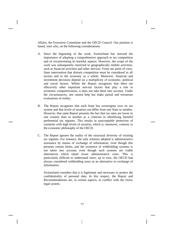Affairs, the Executive Committee and the OECD Council. Our position is based, *inter alia*, on the following considerations:

- A. Since the beginning of the work, Switzerland has stressed the importance of adopting a comprehensive approach to tax competition and of circumventing its harmful aspects. However, the scope of the work was subsequently restricted to geographically mobile activities, such as financial activities and other services. From our point of view, State intervention that distorts competition must be considered in all sectors and in the economy as a whole. Moreover, financial and investment decisions depend on a multiplicity of economic, political and social factors. Whilst the Report recognises that there are effectively other important non-tax factors that play a role in economic competitiveness, it does not take them into account. Under the circumstances, one cannot help but make partial and erroneous evaluations of reality.
- B. The Report recognises that each State has sovereignty over its tax system and that levels of taxation can differ from one State to another. However, that same Report presents the fact that tax rates are lower in one country than in another as a criterion to identifying harmful preferential tax regimes. This results in unacceptable protection of countries with high levels of taxation, which is, moreover, contrary to the economic philosophy of the OECD.
- C. The Report ignores the reality of the structural diversity of existing tax regimes. For instance, the only solution adopted is administrative assistance by means of exchange of information, even though this presents certain limits, and the existence of withholding systems is not taken into account, even though such systems are viable alternatives which entail lower administrative costs. This is particularly difficult to understand since, up to now, the OECD had always considered withholding taxes as an alternative to exchange of information.

Switzerland considers that it is legitimate and necessary to protect the confidentiality of personal data. In this respect, the Report and Recommendations are, in certain aspects, in conflict with the Swiss legal system.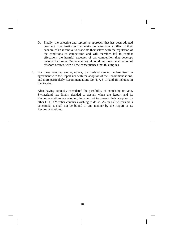- D. Finally, the selective and repressive approach that has been adopted does not give territories that make tax attraction a pillar of their economies an incentive to associate themselves with the regulation of the conditions of competition and will therefore fail to combat effectively the harmful excesses of tax competition that develops outside of all rules. On the contrary, it could reinforce the attraction of offshore centres, with all the consequences that this implies.
- 3. For these reasons, among others, Switzerland cannot declare itself in agreement with the Report nor with the adoption of the Recommendations, and more particularly Recommendations No. 4, 7, 8, 14 and 15 included in the Report.

After having seriously considered the possibility of exercising its veto, Switzerland has finally decided to abstain when the Report and its Recommendations are adopted, in order not to prevent their adoption by other OECD Member countries wishing to do so. As far as Switzerland is concerned, it shall not be bound in any manner by the Report or its Recommendations.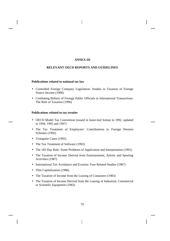# **ANNEX III**

# **RELEVANT OECD REPORTS AND GUIDELINES**

### **Publications related to national tax law**

- Controlled Foreign Company Legislation: Studies in Taxation of Foreign Source Income (1996)
- Combating Bribery of Foreign Public Officials in International Transactions: The Role of Taxation (1996)

## **Publications related to tax treaties**

- OECD Model Tax Convention (issued in loose-leaf format in 1992, updated in 1994, 1995 and 1997)
- The Tax Treatment of Employees' Contributions to Foreign Pension Schemes (1992)
- Triangular Cases (1992)
- The Tax Treatment of Software (1992)
- The 183 Day Rule: Some Problems of Application and Interpretation (1991)
- The Taxation of Income Derived from Entertainment, Artistic and Sporting Activities (1987)
- International Tax Avoidance and Evasion: Four Related Studies (1987)
- Thin Capitalization (1986)
- The Taxation of Income from the Leasing of Containers (1983)
- The Taxation of Income Derived from the Leasing of Industrial, Commercial or Scientific Equipment (1983)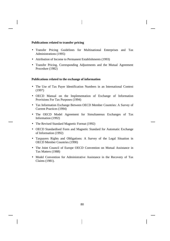## **Publications related to transfer pricing**

- Transfer Pricing Guidelines for Multinational Enterprises and Tax Administrations (1995)
- Attribution of Income to Permanent Establishments (1993)
- Transfer Pricing, Corresponding Adjustments and the Mutual Agreement Procedure (1982)

## **Publications related to the exchange of information**

- The Use of Tax Payer Identification Numbers in an International Context (1997)
- OECD Manual on the Implementation of Exchange of Information Provisions For Tax Purposes (1994)
- Tax Information Exchange Between OECD Member Countries: A Survey of Current Practices (1994)
- The OECD Model Agreement for Simultaneous Exchanges of Tax Information (1992)
- The Revised Standard Magnetic Format (1992)
- OECD Standardised Form and Magnetic Standard for Automatic Exchange of Information (1992)
- Taxpayers Rights and Obligations: A Survey of the Legal Situation in OECD Member Countries (1990)
- The Joint Council of Europe OECD Convention on Mutual Assistance in Tax Matters (1988)
- Model Convention for Administrative Assistance in the Recovery of Tax Claims (1981).